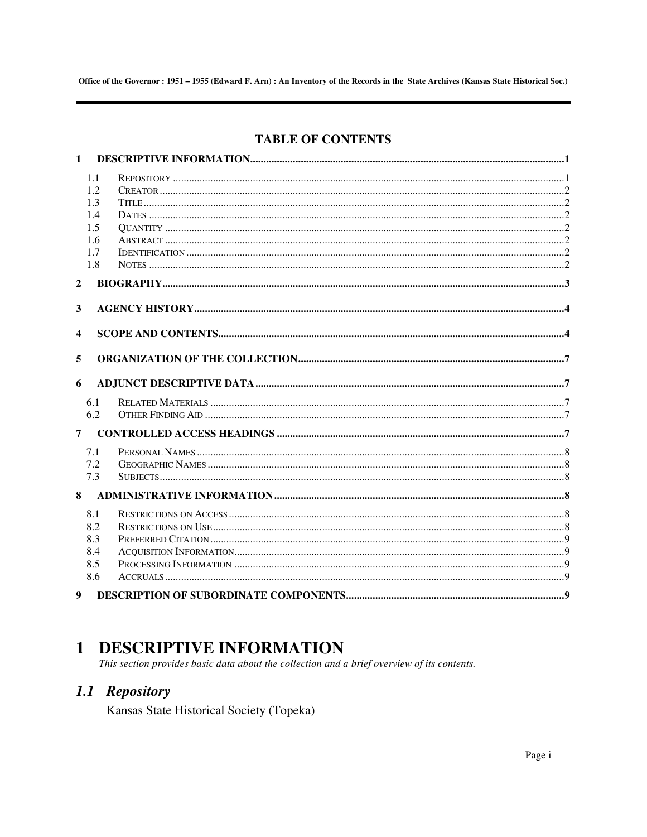# **TABLE OF CONTENTS**

| $\mathbf{1}$            |     |  |
|-------------------------|-----|--|
|                         | 1.1 |  |
|                         | 1.2 |  |
|                         | 1.3 |  |
|                         | 1.4 |  |
|                         | 1.5 |  |
|                         | 1.6 |  |
|                         | 1.7 |  |
|                         | 1.8 |  |
| $\boldsymbol{2}$        |     |  |
|                         |     |  |
| 3                       |     |  |
| $\overline{\mathbf{4}}$ |     |  |
|                         |     |  |
| 5                       |     |  |
|                         |     |  |
| 6                       |     |  |
|                         | 6.1 |  |
|                         | 6.2 |  |
| $7^{\circ}$             |     |  |
|                         | 7.1 |  |
|                         | 7.2 |  |
|                         | 7.3 |  |
|                         |     |  |
| 8                       |     |  |
|                         | 8.1 |  |
|                         | 8.2 |  |
|                         | 8.3 |  |
|                         | 8.4 |  |
|                         | 8.5 |  |
|                         | 8.6 |  |
| 9                       |     |  |

# **1 DESCRIPTIVE INFORMATION**

This section provides basic data about the collection and a brief overview of its contents.

# 1.1 Repository

Kansas State Historical Society (Topeka)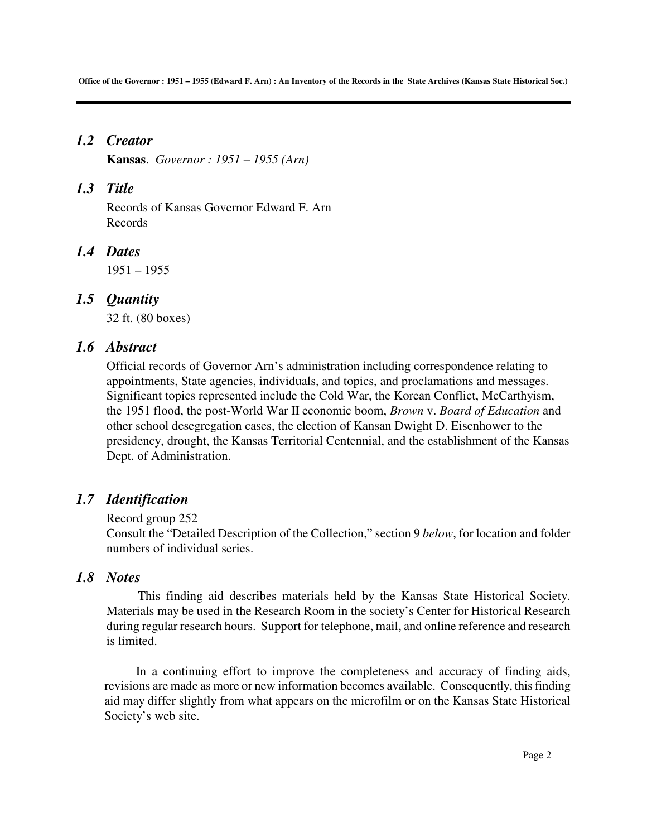# *1.2 Creator*

**Kansas**. *Governor : 1951 – 1955 (Arn)* 

# *1.3 Title*

Records of Kansas Governor Edward F. Arn Records

# *1.4 Dates*

1951 – 1955

# *1.5 Quantity*

32 ft. (80 boxes)

# *1.6 Abstract*

Official records of Governor Arn's administration including correspondence relating to appointments, State agencies, individuals, and topics, and proclamations and messages. Significant topics represented include the Cold War, the Korean Conflict, McCarthyism, the 1951 flood, the post-World War II economic boom, *Brown* v. *Board of Education* and other school desegregation cases, the election of Kansan Dwight D. Eisenhower to the presidency, drought, the Kansas Territorial Centennial, and the establishment of the Kansas Dept. of Administration.

# *1.7 Identification*

## Record group 252

Consult the "Detailed Description of the Collection," section 9 *below*, for location and folder numbers of individual series.

# *1.8 Notes*

This finding aid describes materials held by the Kansas State Historical Society. Materials may be used in the Research Room in the society's Center for Historical Research during regular research hours. Support for telephone, mail, and online reference and research is limited.

In a continuing effort to improve the completeness and accuracy of finding aids, revisions are made as more or new information becomes available. Consequently, this finding aid may differ slightly from what appears on the microfilm or on the Kansas State Historical Society's web site.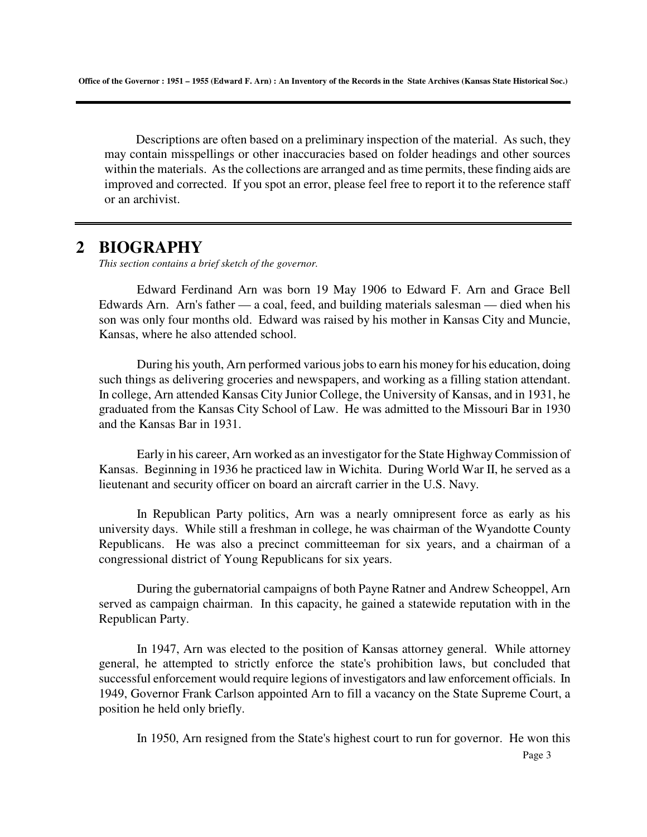Descriptions are often based on a preliminary inspection of the material. As such, they may contain misspellings or other inaccuracies based on folder headings and other sources within the materials. As the collections are arranged and as time permits, these finding aids are improved and corrected. If you spot an error, please feel free to report it to the reference staff or an archivist.

# **2 BIOGRAPHY**

*This section contains a brief sketch of the governor.* 

Edward Ferdinand Arn was born 19 May 1906 to Edward F. Arn and Grace Bell Edwards Arn. Arn's father — a coal, feed, and building materials salesman — died when his son was only four months old. Edward was raised by his mother in Kansas City and Muncie, Kansas, where he also attended school.

During his youth, Arn performed various jobs to earn his money for his education, doing such things as delivering groceries and newspapers, and working as a filling station attendant. In college, Arn attended Kansas City Junior College, the University of Kansas, and in 1931, he graduated from the Kansas City School of Law. He was admitted to the Missouri Bar in 1930 and the Kansas Bar in 1931.

Early in his career, Arn worked as an investigator for the State Highway Commission of Kansas. Beginning in 1936 he practiced law in Wichita. During World War II, he served as a lieutenant and security officer on board an aircraft carrier in the U.S. Navy.

In Republican Party politics, Arn was a nearly omnipresent force as early as his university days. While still a freshman in college, he was chairman of the Wyandotte County Republicans. He was also a precinct committeeman for six years, and a chairman of a congressional district of Young Republicans for six years.

During the gubernatorial campaigns of both Payne Ratner and Andrew Scheoppel, Arn served as campaign chairman. In this capacity, he gained a statewide reputation with in the Republican Party.

In 1947, Arn was elected to the position of Kansas attorney general. While attorney general, he attempted to strictly enforce the state's prohibition laws, but concluded that successful enforcement would require legions of investigators and law enforcement officials. In 1949, Governor Frank Carlson appointed Arn to fill a vacancy on the State Supreme Court, a position he held only briefly.

In 1950, Arn resigned from the State's highest court to run for governor. He won this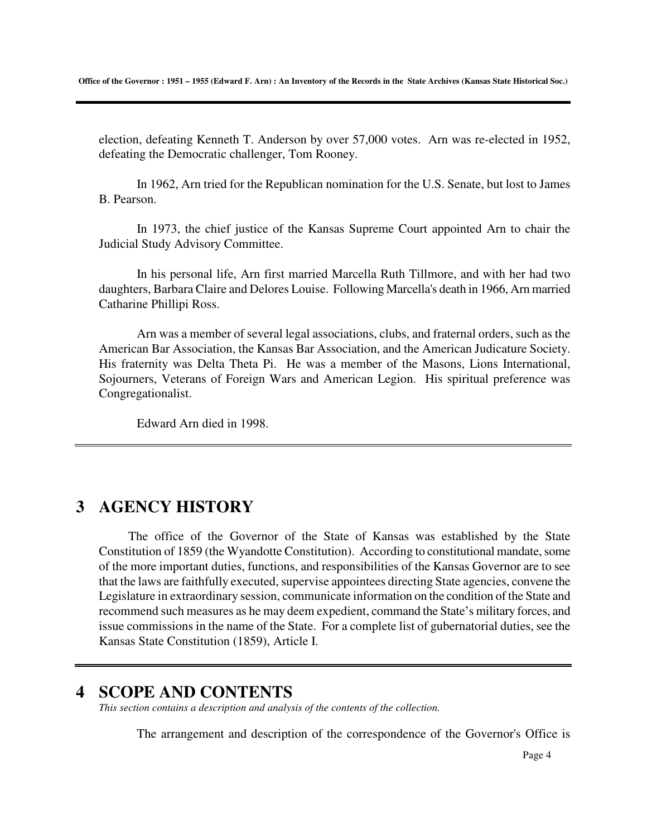election, defeating Kenneth T. Anderson by over 57,000 votes. Arn was re-elected in 1952, defeating the Democratic challenger, Tom Rooney.

In 1962, Arn tried for the Republican nomination for the U.S. Senate, but lost to James B. Pearson.

In 1973, the chief justice of the Kansas Supreme Court appointed Arn to chair the Judicial Study Advisory Committee.

In his personal life, Arn first married Marcella Ruth Tillmore, and with her had two daughters, Barbara Claire and Delores Louise. Following Marcella's death in 1966, Arn married Catharine Phillipi Ross.

Arn was a member of several legal associations, clubs, and fraternal orders, such as the American Bar Association, the Kansas Bar Association, and the American Judicature Society. His fraternity was Delta Theta Pi. He was a member of the Masons, Lions International, Sojourners, Veterans of Foreign Wars and American Legion. His spiritual preference was Congregationalist.

Edward Arn died in 1998.

# **3 AGENCY HISTORY**

The office of the Governor of the State of Kansas was established by the State Constitution of 1859 (the Wyandotte Constitution). According to constitutional mandate, some of the more important duties, functions, and responsibilities of the Kansas Governor are to see that the laws are faithfully executed, supervise appointees directing State agencies, convene the Legislature in extraordinary session, communicate information on the condition of the State and recommend such measures as he may deem expedient, command the State's military forces, and issue commissions in the name of the State. For a complete list of gubernatorial duties, see the Kansas State Constitution (1859), Article I.

# **4 SCOPE AND CONTENTS**

*This section contains a description and analysis of the contents of the collection.* 

The arrangement and description of the correspondence of the Governor's Office is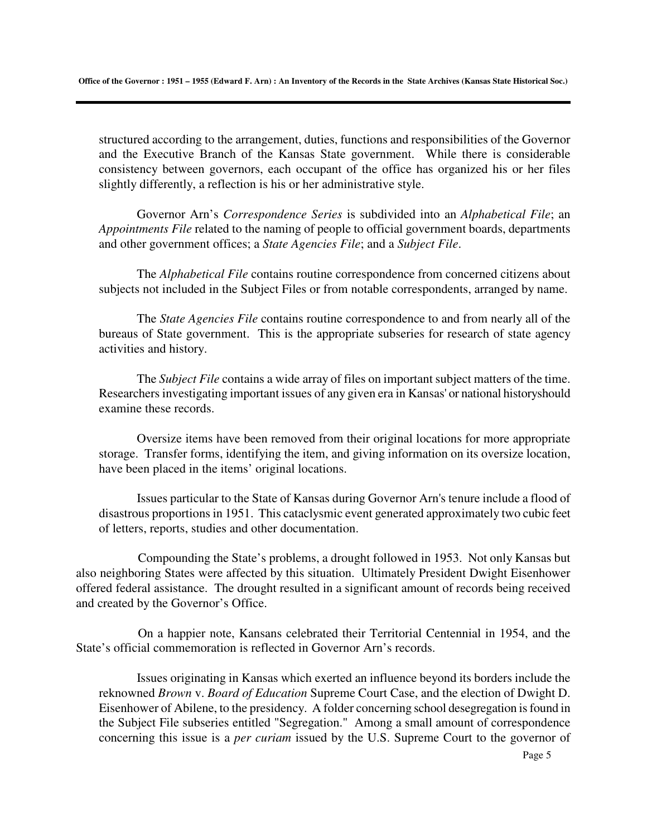structured according to the arrangement, duties, functions and responsibilities of the Governor and the Executive Branch of the Kansas State government. While there is considerable consistency between governors, each occupant of the office has organized his or her files slightly differently, a reflection is his or her administrative style.

Governor Arn's *Correspondence Series* is subdivided into an *Alphabetical File*; an *Appointments File* related to the naming of people to official government boards, departments and other government offices; a *State Agencies File*; and a *Subject File*.

The *Alphabetical File* contains routine correspondence from concerned citizens about subjects not included in the Subject Files or from notable correspondents, arranged by name.

The *State Agencies File* contains routine correspondence to and from nearly all of the bureaus of State government. This is the appropriate subseries for research of state agency activities and history.

The *Subject File* contains a wide array of files on important subject matters of the time. Researchers investigating important issues of any given era in Kansas' or national historyshould examine these records.

Oversize items have been removed from their original locations for more appropriate storage. Transfer forms, identifying the item, and giving information on its oversize location, have been placed in the items' original locations.

Issues particular to the State of Kansas during Governor Arn's tenure include a flood of disastrous proportions in 1951. This cataclysmic event generated approximately two cubic feet of letters, reports, studies and other documentation.

Compounding the State's problems, a drought followed in 1953. Not only Kansas but also neighboring States were affected by this situation. Ultimately President Dwight Eisenhower offered federal assistance. The drought resulted in a significant amount of records being received and created by the Governor's Office.

On a happier note, Kansans celebrated their Territorial Centennial in 1954, and the State's official commemoration is reflected in Governor Arn's records.

Issues originating in Kansas which exerted an influence beyond its borders include the reknowned *Brown* v. *Board of Education* Supreme Court Case, and the election of Dwight D. Eisenhower of Abilene, to the presidency. A folder concerning school desegregation is found in the Subject File subseries entitled "Segregation." Among a small amount of correspondence concerning this issue is a *per curiam* issued by the U.S. Supreme Court to the governor of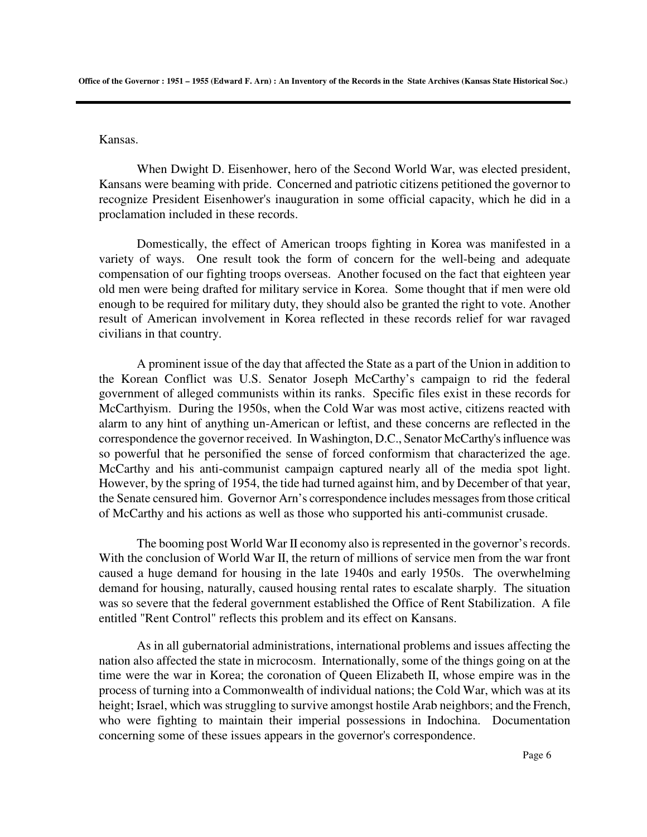Kansas.

When Dwight D. Eisenhower, hero of the Second World War, was elected president, Kansans were beaming with pride. Concerned and patriotic citizens petitioned the governor to recognize President Eisenhower's inauguration in some official capacity, which he did in a proclamation included in these records.

Domestically, the effect of American troops fighting in Korea was manifested in a variety of ways. One result took the form of concern for the well-being and adequate compensation of our fighting troops overseas. Another focused on the fact that eighteen year old men were being drafted for military service in Korea. Some thought that if men were old enough to be required for military duty, they should also be granted the right to vote. Another result of American involvement in Korea reflected in these records relief for war ravaged civilians in that country.

A prominent issue of the day that affected the State as a part of the Union in addition to the Korean Conflict was U.S. Senator Joseph McCarthy's campaign to rid the federal government of alleged communists within its ranks. Specific files exist in these records for McCarthyism. During the 1950s, when the Cold War was most active, citizens reacted with alarm to any hint of anything un-American or leftist, and these concerns are reflected in the correspondence the governor received. In Washington, D.C., Senator McCarthy's influence was so powerful that he personified the sense of forced conformism that characterized the age. McCarthy and his anti-communist campaign captured nearly all of the media spot light. However, by the spring of 1954, the tide had turned against him, and by December of that year, the Senate censured him. Governor Arn's correspondence includes messages from those critical of McCarthy and his actions as well as those who supported his anti-communist crusade.

The booming post World War II economy also is represented in the governor's records. With the conclusion of World War II, the return of millions of service men from the war front caused a huge demand for housing in the late 1940s and early 1950s. The overwhelming demand for housing, naturally, caused housing rental rates to escalate sharply. The situation was so severe that the federal government established the Office of Rent Stabilization. A file entitled "Rent Control" reflects this problem and its effect on Kansans.

As in all gubernatorial administrations, international problems and issues affecting the nation also affected the state in microcosm. Internationally, some of the things going on at the time were the war in Korea; the coronation of Queen Elizabeth II, whose empire was in the process of turning into a Commonwealth of individual nations; the Cold War, which was at its height; Israel, which was struggling to survive amongst hostile Arab neighbors; and the French, who were fighting to maintain their imperial possessions in Indochina. Documentation concerning some of these issues appears in the governor's correspondence.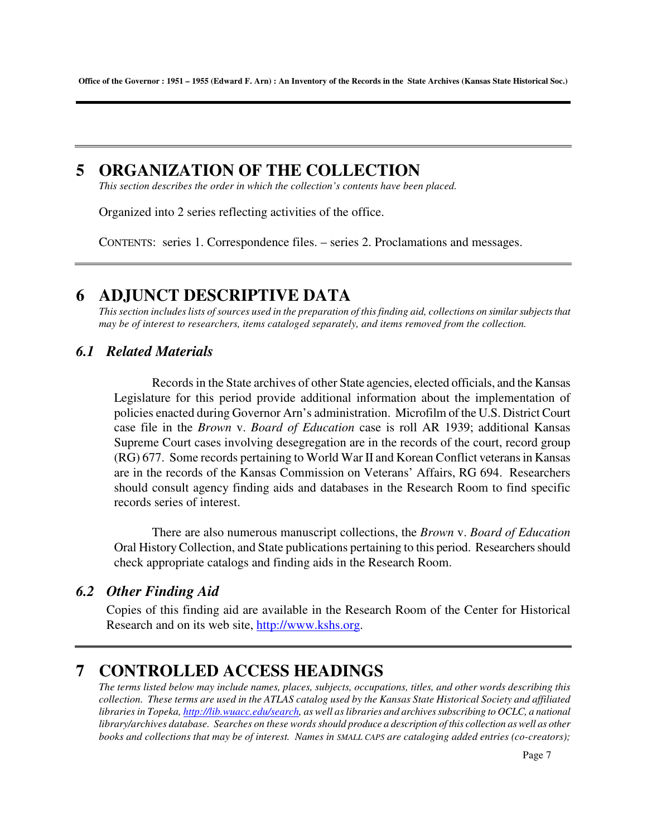# **5 ORGANIZATION OF THE COLLECTION**

*This section describes the order in which the collection's contents have been placed.* 

Organized into 2 series reflecting activities of the office.

CONTENTS: series 1. Correspondence files. – series 2. Proclamations and messages.

# **6 ADJUNCT DESCRIPTIVE DATA**

*This section includes lists of sources used in the preparation of this finding aid, collections on similar subjects that may be of interest to researchers, items cataloged separately, and items removed from the collection.* 

## *6.1 Related Materials*

Records in the State archives of other State agencies, elected officials, and the Kansas Legislature for this period provide additional information about the implementation of policies enacted during Governor Arn's administration. Microfilm of the U.S. District Court case file in the *Brown* v. *Board of Education* case is roll AR 1939; additional Kansas Supreme Court cases involving desegregation are in the records of the court, record group (RG) 677. Some records pertaining to World War II and Korean Conflict veterans in Kansas are in the records of the Kansas Commission on Veterans' Affairs, RG 694. Researchers should consult agency finding aids and databases in the Research Room to find specific records series of interest.

 There are also numerous manuscript collections, the *Brown* v. *Board of Education* Oral History Collection, and State publications pertaining to this period. Researchers should check appropriate catalogs and finding aids in the Research Room.

## *6.2 Other Finding Aid*

Copies of this finding aid are available in the Research Room of the Center for Historical Research and on its web site, http://www.kshs.org.

# **7 CONTROLLED ACCESS HEADINGS**

*The terms listed below may include names, places, subjects, occupations, titles, and other words describing this collection. These terms are used in the ATLAS catalog used by the Kansas State Historical Society and affiliated libraries in Topeka, http://lib.wuacc.edu/search, as well as libraries and archives subscribing to OCLC, a national library/archives database. Searches on these words should produce a description of this collection as well as other books and collections that may be of interest. Names in SMALL CAPS are cataloging added entries (co-creators);*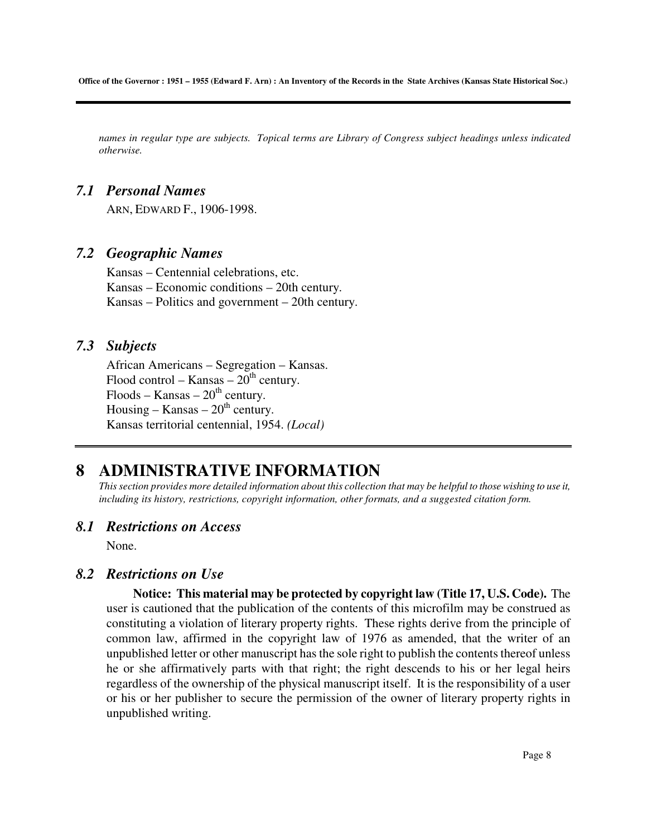*names in regular type are subjects. Topical terms are Library of Congress subject headings unless indicated otherwise.* 

## *7.1 Personal Names*

ARN, EDWARD F., 1906-1998.

## *7.2 Geographic Names*

Kansas – Centennial celebrations, etc. Kansas – Economic conditions – 20th century. Kansas – Politics and government – 20th century.

## *7.3 Subjects*

African Americans – Segregation – Kansas. Flood control – Kansas –  $20<sup>th</sup>$  century.  $F$ loods – Kansas –  $20<sup>th</sup>$  century. Housing – Kansas –  $20<sup>th</sup>$  century. Kansas territorial centennial, 1954. *(Local)* 

# **8 ADMINISTRATIVE INFORMATION**

*This section provides more detailed information about this collection that may be helpful to those wishing to use it, including its history, restrictions, copyright information, other formats, and a suggested citation form.* 

### *8.1 Restrictions on Access*

None.

### *8.2 Restrictions on Use*

 **Notice: This material may be protected by copyright law (Title 17, U.S. Code).** The user is cautioned that the publication of the contents of this microfilm may be construed as constituting a violation of literary property rights. These rights derive from the principle of common law, affirmed in the copyright law of 1976 as amended, that the writer of an unpublished letter or other manuscript has the sole right to publish the contents thereof unless he or she affirmatively parts with that right; the right descends to his or her legal heirs regardless of the ownership of the physical manuscript itself. It is the responsibility of a user or his or her publisher to secure the permission of the owner of literary property rights in unpublished writing.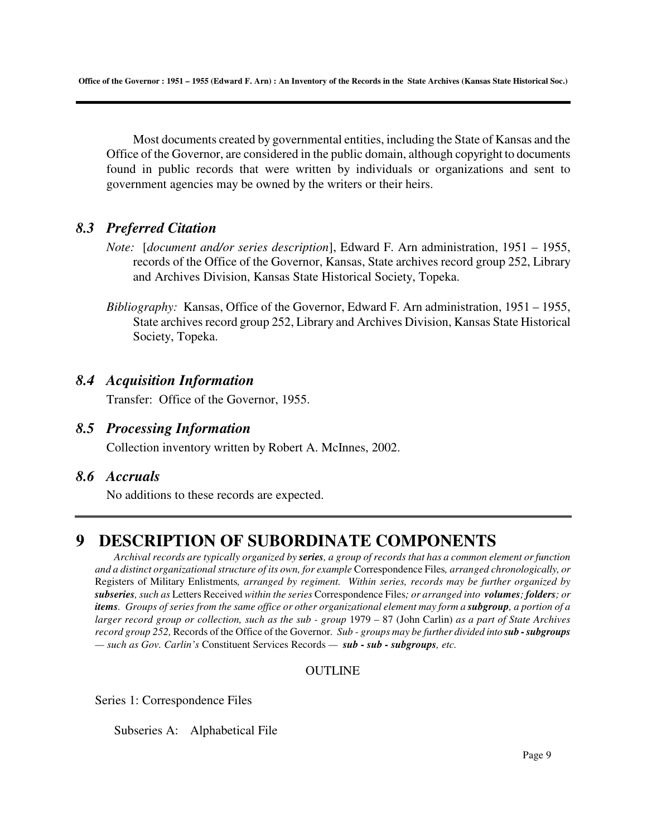Most documents created by governmental entities, including the State of Kansas and the Office of the Governor, are considered in the public domain, although copyright to documents found in public records that were written by individuals or organizations and sent to government agencies may be owned by the writers or their heirs.

## *8.3 Preferred Citation*

- *Note:* [*document and/or series description*], Edward F. Arn administration, 1951 1955, records of the Office of the Governor, Kansas, State archives record group 252, Library and Archives Division, Kansas State Historical Society, Topeka.
- *Bibliography:* Kansas, Office of the Governor, Edward F. Arn administration, 1951 1955, State archives record group 252, Library and Archives Division, Kansas State Historical Society, Topeka.

## *8.4 Acquisition Information*

Transfer: Office of the Governor, 1955.

## *8.5 Processing Information*

Collection inventory written by Robert A. McInnes, 2002.

# *8.6 Accruals*

No additions to these records are expected.

# **9 DESCRIPTION OF SUBORDINATE COMPONENTS**

*Archival records are typically organized by series, a group of records that has a common element or function and a distinct organizational structure of its own, for example* Correspondence Files*, arranged chronologically, or*  Registers of Military Enlistments*, arranged by regiment. Within series, records may be further organized by subseries, such as* Letters Received *within the series* Correspondence Files*; or arranged into volumes; folders; or items. Groups of series from the same office or other organizational element may form a <b><i>subgroup*, a portion of a *larger record group or collection, such as the sub - group* 1979 – 87 (John Carlin) *as a part of State Archives record group 252,* Records of the Office of the Governor*. Sub - groups may be further divided into sub - subgroups — such as Gov. Carlin's* Constituent Services Records *— sub - sub - subgroups, etc.* 

### **OUTLINE**

Series 1: Correspondence Files

Subseries A: Alphabetical File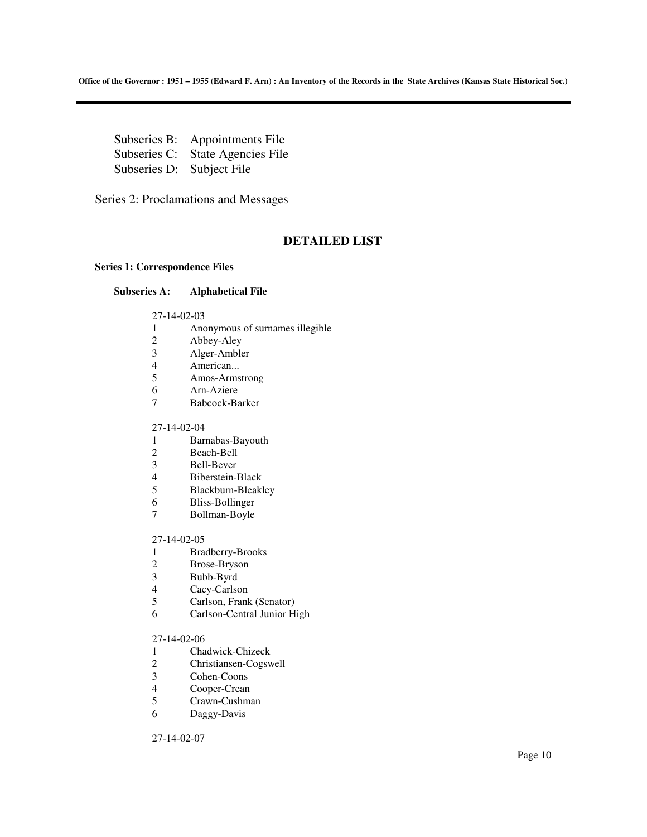Subseries B: Appointments File Subseries C: State Agencies File Subseries D: Subject File

Series 2: Proclamations and Messages

### **DETAILED LIST**

#### **Series 1: Correspondence Files**

### **Subseries A: Alphabetical File**

27-14-02-03

- 1 Anonymous of surnames illegible
- 2 Abbey-Aley
- 3 Alger-Ambler
- 4 American...<br>5 Amos-Arms
- 5 Amos-Armstrong
- 6 Arn-Aziere
- 7 Babcock-Barker

### 27-14-02-04

- 1 Barnabas-Bayouth
- 2 Beach-Bell<br>3 Bell-Bever
- Bell-Bever
- 
- 4 Biberstein-Black<br>5 Blackburn-Bleakl 5 Blackburn-Bleakley
- 6 Bliss-Bollinger
- 7 Bollman-Boyle

#### 27-14-02-05

- 1 Bradberry-Brooks
- 2 Brose-Bryson<br>3 Bubb-Byrd
- Bubb-Byrd
- 4 Cacy-Carlson<br>5 Carlson, Frank
- Carlson, Frank (Senator)
- 6 Carlson-Central Junior High

#### 27-14-02-06

- 1 Chadwick-Chizeck
- 2 Christiansen-Cogswell
- 3 Cohen-Coons
- 4 Cooper-Crean
- 5 Crawn-Cushman
- 6 Daggy-Davis

27-14-02-07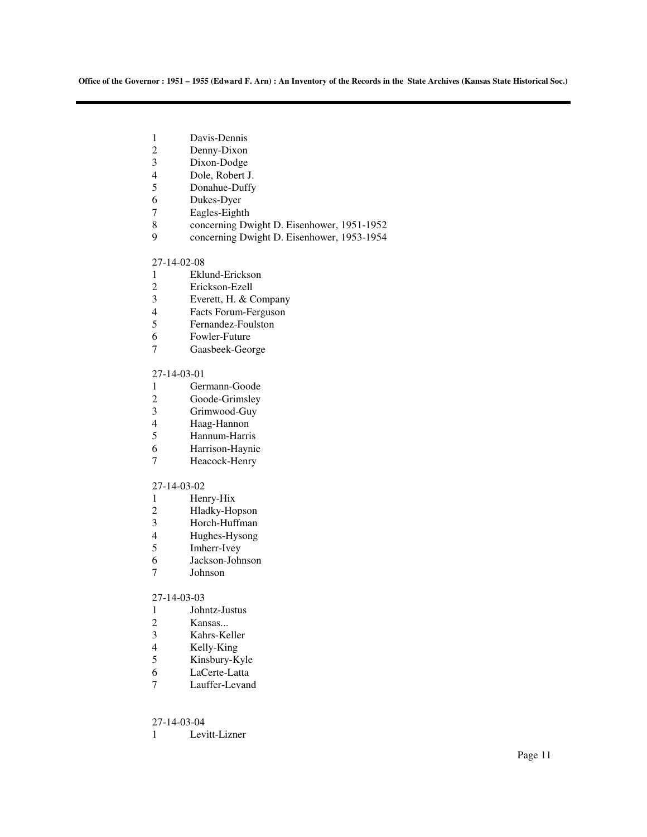- 1 Davis-Dennis<br>2 Denny-Dixon
- 2 Denny-Dixon<br>3 Dixon-Dodge
- 3 Dixon-Dodge<br>4 Dole, Robert J
- 4 Dole, Robert J.<br>5 Donahue-Duffy
- 5 Donahue-Duffy<br>6 Dukes-Dyer
- Dukes-Dyer
- 7 Eagles-Eighth
- 8 concerning Dwight D. Eisenhower, 1951-1952
- 9 concerning Dwight D. Eisenhower, 1953-1954

### 27-14-02-08

- 1 Eklund-Erickson
- 2 Erickson-Ezell
- 3 Everett, H. & Company<br>4 Facts Forum-Ferguson
- Facts Forum-Ferguson
- 5 Fernandez-Foulston
- 6 Fowler-Future
- 7 Gaasbeek-George

#### 27-14-03-01

- 1 Germann-Goode
- 2 Goode-Grimsley
- 3 Grimwood-Guy
- 4 Haag-Hannon
- 5 Hannum-Harris
- 6 Harrison-Haynie
- 7 Heacock-Henry

#### 27-14-03-02

- 1 Henry-Hix
- 2 Hladky-Hopson<br>3 Horch-Huffman
- 3 Horch-Huffman
- 4 Hughes-Hysong<br>5 Imherr-Ivey
- Imherr-Ivey
- 6 Jackson-Johnson
- 7 Johnson

### 27-14-03-03

- 1 Johntz-Justus
- 
- 2 Kansas...<br>3 Kahrs-Ke Kahrs-Keller
- 
- 4 Kelly-King<br>5 Kinsbury-K Kinsbury-Kyle
- 6 LaCerte-Latta
- 7 Lauffer-Levand

### 27-14-03-04

1 Levitt-Lizner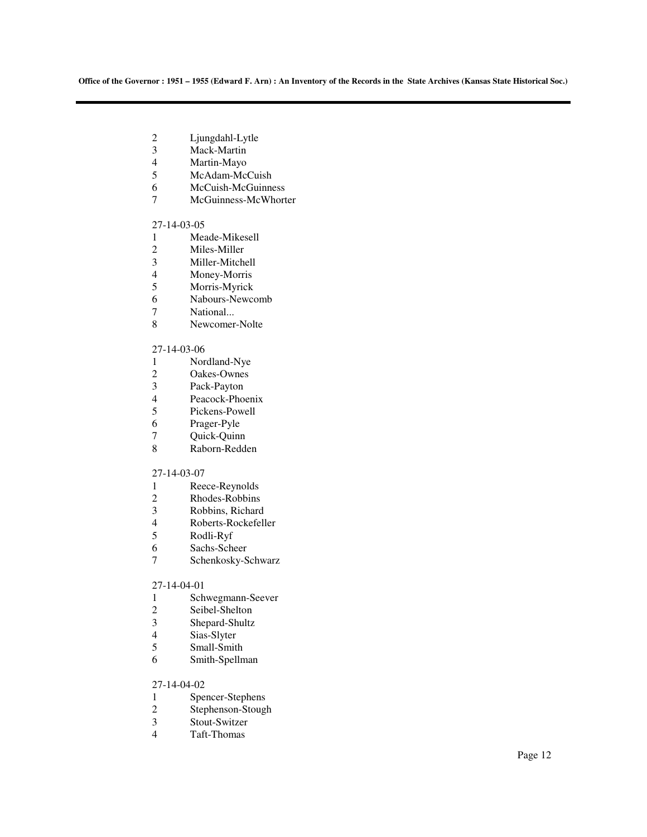- 2 Ljungdahl-Lytle<br>3 Mack-Martin
- 3 Mack-Martin<br>4 Martin-Mavo
- 4 Martin-Mayo<br>5 McAdam-Mc
- McAdam-McCuish
- 6 McCuish-McGuinness<br>7 McGuinness-McWhort
- McGuinness-McWhorter

#### 27-14-03-05

- 1 Meade-Mikesell<br>2 Miles-Miller
- 2 Miles-Miller<br>3 Miller-Mitche
- 3 Miller-Mitchell<br>4 Money-Morris
- 4 Money-Morris<br>5 Morris-Myrick
- Morris-Myrick
- 6 Nabours-Newcomb<br>7 National...
- National...
- 8 Newcomer-Nolte

#### 27-14-03-06

- 1 Nordland-Nye
- 2 Oakes-Ownes<br>3 Pack-Payton
- Pack-Payton
- 4 Peacock-Phoenix
- 5 Pickens-Powell
- 6 Prager-Pyle<br>7 Ouick-Ouinr
- 7 Quick-Quinn<br>8 Raborn-Redd
- Raborn-Redden

### 27-14-03-07

- 1 Reece-Reynolds<br>2 Rhodes-Robbins
- Rhodes-Robbins
- 3 Robbins, Richard<br>4 Roberts-Rockefell
- 4 Roberts-Rockefeller<br>5 Rodli-Ryf
- 5 Rodli-Ryf
- 6 Sachs-Scheer
- 7 Schenkosky-Schwarz

#### 27-14-04-01

- 1 Schwegmann-Seever<br>2 Seibel-Shelton
- 2 Seibel-Shelton<br>3 Shepard-Shultz
- 3 Shepard-Shultz<br>4 Sias-Slyter
- 4 Sias-Slyter<br>5 Small-Smith
- 5 Small-Smith
- 6 Smith-Spellman

### 27-14-04-02

- 1 Spencer-Stephens<br>2 Stephenson-Stoug
- 2 Stephenson-Stough<br>3 Stout-Switzer
- Stout-Switzer
- 4 Taft-Thomas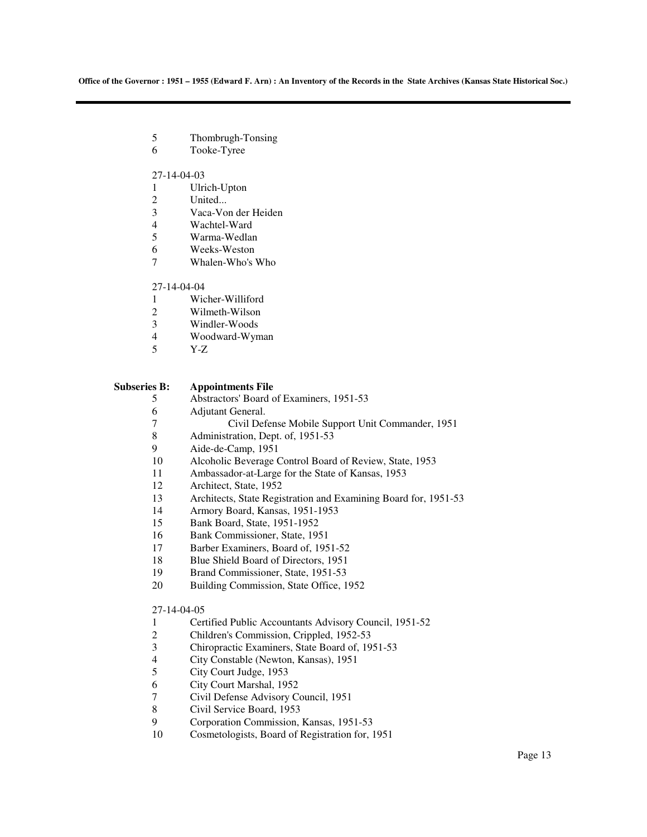- 5 Thombrugh-Tonsing
- 6 Tooke-Tyree

#### 27-14-04-03

- 1 Ulrich-Upton<br>2 United...
- United...
- 3 Vaca-Von der Heiden
- 4 Wachtel-Ward
- 5 Warma-Wedlan
- 6 Weeks-Weston
- 7 Whalen-Who's Who

### 27-14-04-04

- 1 Wicher-Williford<br>2 Wilmeth-Wilson
- Wilmeth-Wilson
- 3 Windler-Woods
- 4 Woodward-Wyman
- 5 Y-Z

#### **Subseries B: Appointments File**

- 5 Abstractors' Board of Examiners, 1951-53
- 6 Adjutant General.
- 7 Civil Defense Mobile Support Unit Commander, 1951<br>8 Administration, Dept. of, 1951-53
- 8 Administration, Dept. of, 1951-53<br>9 Aide-de-Camp. 1951
- 9 Aide-de-Camp, 1951
- 10 Alcoholic Beverage Control Board of Review, State, 1953
- 11 Ambassador-at-Large for the State of Kansas, 1953
- 12 Architect, State, 1952
- 13 Architects, State Registration and Examining Board for, 1951-53
- 14 Armory Board, Kansas, 1951-1953
- 15 Bank Board, State, 1951-1952
- 16 Bank Commissioner, State, 1951
- 17 Barber Examiners, Board of, 1951-52
- 18 Blue Shield Board of Directors, 1951
- 19 Brand Commissioner, State, 1951-53
- 20 Building Commission, State Office, 1952

### 27-14-04-05

- 1 Certified Public Accountants Advisory Council, 1951-52
- 2 Children's Commission, Crippled, 1952-53
- 3 Chiropractic Examiners, State Board of, 1951-53
- 4 City Constable (Newton, Kansas), 1951
- 5 City Court Judge, 1953
- 6 City Court Marshal, 1952
- 7 Civil Defense Advisory Council, 1951<br>8 Civil Service Board, 1953
- 8 Civil Service Board, 1953<br>9 Corporation Commission.
- 9 Corporation Commission, Kansas, 1951-53
- 10 Cosmetologists, Board of Registration for, 1951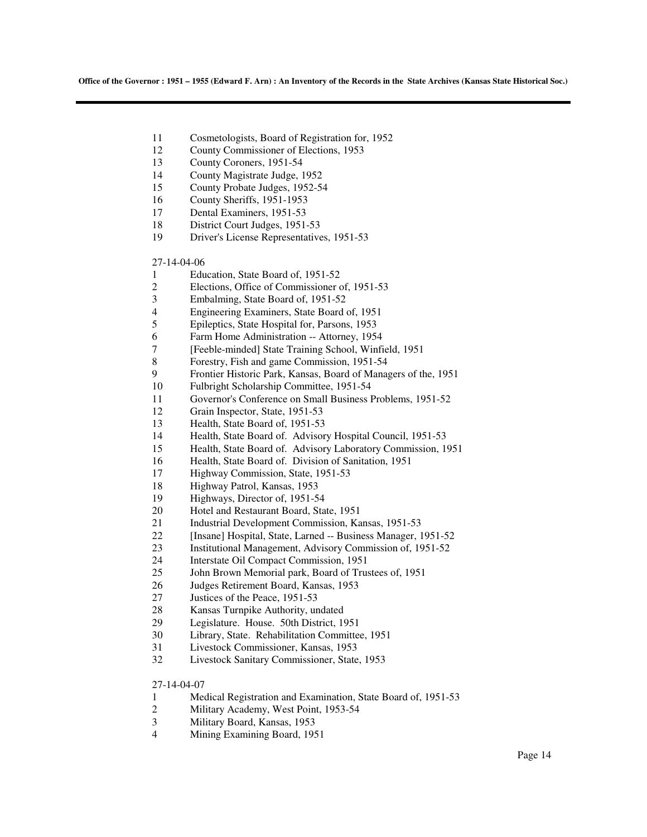- 11 Cosmetologists, Board of Registration for, 1952
- 12 County Commissioner of Elections, 1953
- 13 County Coroners, 1951-54
- 14 County Magistrate Judge, 1952
- 15 County Probate Judges, 1952-54
- 16 County Sheriffs, 1951-1953
- 17 Dental Examiners, 1951-53
- 18 District Court Judges, 1951-53
- 19 Driver's License Representatives, 1951-53

#### 27-14-04-06

- 1 Education, State Board of, 1951-52
- 2 Elections, Office of Commissioner of, 1951-53
- 3 Embalming, State Board of, 1951-52<br>4 Engineering Examiners, State Board
- 4 Engineering Examiners, State Board of, 1951
- 5 Epileptics, State Hospital for, Parsons, 1953
- 6 Farm Home Administration -- Attorney, 1954
- 7 [Feeble-minded] State Training School, Winfield, 1951
- 8 Forestry, Fish and game Commission, 1951-54
- 9 Frontier Historic Park, Kansas, Board of Managers of the, 1951
- 10 Fulbright Scholarship Committee, 1951-54
- 11 Governor's Conference on Small Business Problems, 1951-52
- 12 Grain Inspector, State, 1951-53
- 13 Health, State Board of, 1951-53
- 14 Health, State Board of. Advisory Hospital Council, 1951-53
- 15 Health, State Board of. Advisory Laboratory Commission, 1951
- 16 Health, State Board of. Division of Sanitation, 1951
- 17 Highway Commission, State, 1951-53
- 18 Highway Patrol, Kansas, 1953
- 19 Highways, Director of, 1951-54
- 20 Hotel and Restaurant Board, State, 1951
- 21 Industrial Development Commission, Kansas, 1951-53
- 22 [Insane] Hospital, State, Larned -- Business Manager, 1951-52
- 23 Institutional Management, Advisory Commission of, 1951-52
- 24 Interstate Oil Compact Commission, 1951
- 25 John Brown Memorial park, Board of Trustees of, 1951
- 26 Judges Retirement Board, Kansas, 1953
- 27 Justices of the Peace, 1951-53
- 28 Kansas Turnpike Authority, undated
- 29 Legislature. House. 50th District, 1951
- 30 Library, State. Rehabilitation Committee, 1951
- 31 Livestock Commissioner, Kansas, 1953
- 32 Livestock Sanitary Commissioner, State, 1953

27-14-04-07

- 1 Medical Registration and Examination, State Board of, 1951-53
- 2 Military Academy, West Point, 1953-54
- 3 Military Board, Kansas, 1953
- 4 Mining Examining Board, 1951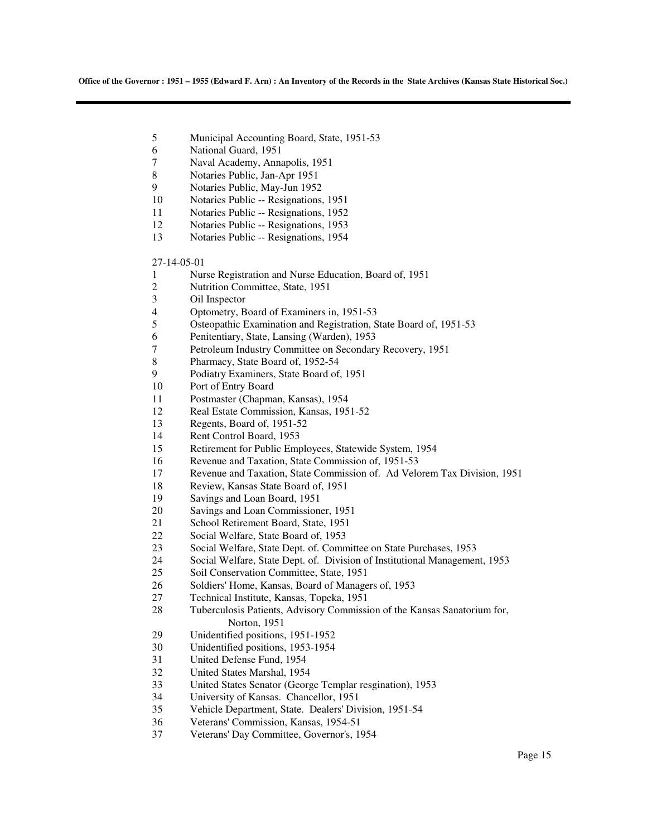- 5 Municipal Accounting Board, State, 1951-53
- 6 National Guard, 1951
- 7 Naval Academy, Annapolis, 1951
- 8 Notaries Public, Jan-Apr 1951
- 9 Notaries Public, May-Jun 1952
- 10 Notaries Public -- Resignations, 1951
- 11 Notaries Public -- Resignations, 1952
- 12 Notaries Public -- Resignations, 1953
- 13 Notaries Public -- Resignations, 1954
- 27-14-05-01
- 1 Nurse Registration and Nurse Education, Board of, 1951
- 2 Nutrition Committee, State, 1951
- 3 Oil Inspector
- 4 Optometry, Board of Examiners in, 1951-53
- 5 Osteopathic Examination and Registration, State Board of, 1951-53
- 6 Penitentiary, State, Lansing (Warden), 1953
- 7 Petroleum Industry Committee on Secondary Recovery, 1951
- 8 Pharmacy, State Board of, 1952-54
- 9 Podiatry Examiners, State Board of, 1951
- 10 Port of Entry Board
- 11 Postmaster (Chapman, Kansas), 1954
- 12 Real Estate Commission, Kansas, 1951-52
- 13 Regents, Board of, 1951-52
- 14 Rent Control Board, 1953
- 15 Retirement for Public Employees, Statewide System, 1954
- 16 Revenue and Taxation, State Commission of, 1951-53
- 17 Revenue and Taxation, State Commission of. Ad Velorem Tax Division, 1951
- 18 Review, Kansas State Board of, 1951
- 19 Savings and Loan Board, 1951
- 20 Savings and Loan Commissioner, 1951
- 21 School Retirement Board, State, 1951
- 22 Social Welfare, State Board of, 1953
- 23 Social Welfare, State Dept. of. Committee on State Purchases, 1953
- 24 Social Welfare, State Dept. of. Division of Institutional Management, 1953
- 25 Soil Conservation Committee, State, 1951
- 26 Soldiers' Home, Kansas, Board of Managers of, 1953
- 27 Technical Institute, Kansas, Topeka, 1951
- 28 Tuberculosis Patients, Advisory Commission of the Kansas Sanatorium for, Norton, 1951
- 29 Unidentified positions, 1951-1952
- 30 Unidentified positions, 1953-1954
- 31 United Defense Fund, 1954
- 32 United States Marshal, 1954
- 33 United States Senator (George Templar resgination), 1953
- 34 University of Kansas. Chancellor, 1951
- 35 Vehicle Department, State. Dealers' Division, 1951-54
- 36 Veterans' Commission, Kansas, 1954-51
- 37 Veterans' Day Committee, Governor's, 1954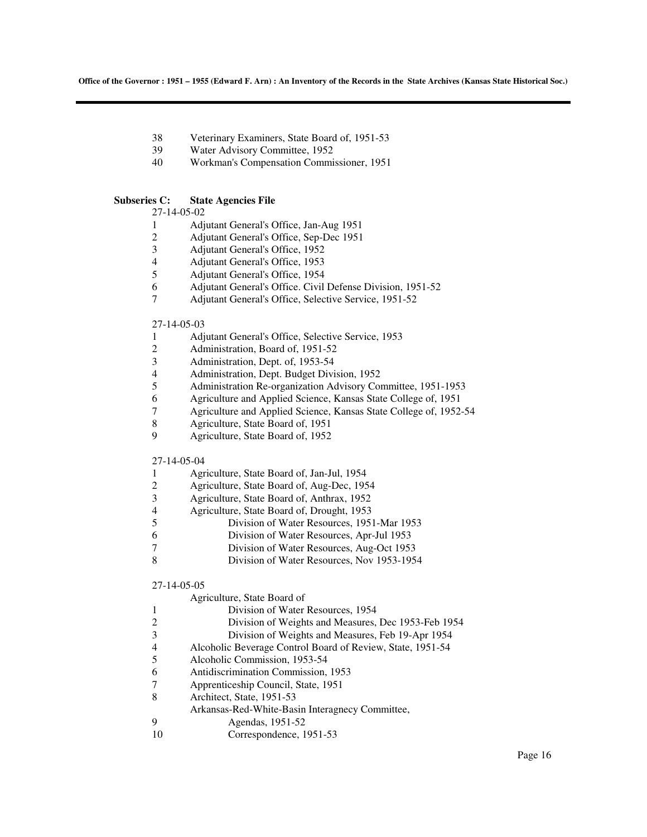- 38 Veterinary Examiners, State Board of, 1951-53
- 39 Water Advisory Committee, 1952
- 40 Workman's Compensation Commissioner, 1951

### **Subseries C: State Agencies File**

27-14-05-02

- 1 Adjutant General's Office, Jan-Aug 1951
- 2 Adjutant General's Office, Sep-Dec 1951
- 3 Adjutant General's Office, 1952
- 4 Adjutant General's Office, 1953<br>5 Adjutant General's Office, 1954
- 5 Adjutant General's Office, 1954
- 6 Adjutant General's Office. Civil Defense Division, 1951-52
- 7 Adjutant General's Office, Selective Service, 1951-52

#### 27-14-05-03

- 1 Adjutant General's Office, Selective Service, 1953
- 2 Administration, Board of, 1951-52
- 3 Administration, Dept. of, 1953-54
- 4 Administration, Dept. Budget Division, 1952
- 5 Administration Re-organization Advisory Committee, 1951-1953
- 6 Agriculture and Applied Science, Kansas State College of, 1951
- 7 Agriculture and Applied Science, Kansas State College of, 1952-54
- 8 Agriculture, State Board of, 1951
- 9 Agriculture, State Board of, 1952

### 27-14-05-04

| Agriculture, State Board of, Jan-Jul, 1954 |  |
|--------------------------------------------|--|
|--------------------------------------------|--|

- 2 Agriculture, State Board of, Aug-Dec, 1954
- 3 Agriculture, State Board of, Anthrax, 1952
- 4 Agriculture, State Board of, Drought, 1953<br>5 Division of Water Resources, 195
- 5 Division of Water Resources, 1951-Mar 1953
- 6 Division of Water Resources, Apr-Jul 1953
- 7 Division of Water Resources, Aug-Oct 1953
- 8 Division of Water Resources, Nov 1953-1954

#### 27-14-05-05

|                | Agriculture, State Board of                                |
|----------------|------------------------------------------------------------|
|                | Division of Water Resources, 1954                          |
| 2              | Division of Weights and Measures, Dec 1953-Feb 1954        |
| 3              | Division of Weights and Measures, Feb 19-Apr 1954          |
| $\overline{4}$ | Alcoholic Beverage Control Board of Review, State, 1951-54 |
| 5              | Alcoholic Commission, 1953-54                              |
| 6              | Antidiscrimination Commission, 1953                        |
| 7              | Apprenticeship Council, State, 1951                        |
| 8              | Architect, State, 1951-53                                  |
|                | Arkansas-Red-White-Basin Interagnecy Committee,            |
| 9              | Agendas, 1951-52                                           |
|                | Correspondence, 1951-53                                    |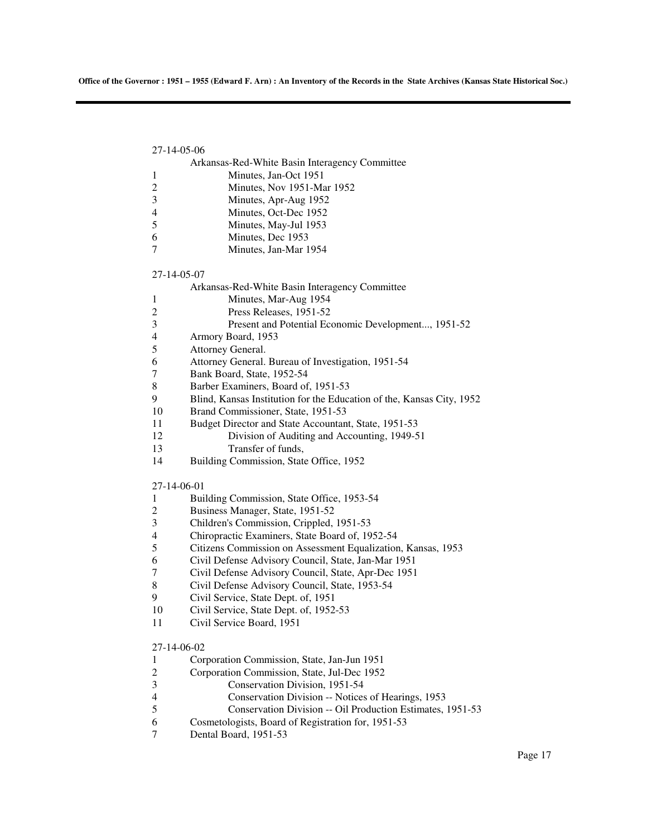| 27-14-05-06                                                                |  |
|----------------------------------------------------------------------------|--|
| Arkansas-Red-White Basin Interagency Committee                             |  |
| Minutes, Jan-Oct 1951<br>1                                                 |  |
| 2<br>Minutes, Nov 1951-Mar 1952                                            |  |
| Minutes, Apr-Aug 1952<br>3                                                 |  |
| Minutes, Oct-Dec 1952<br>$\overline{4}$                                    |  |
| 5<br>Minutes, May-Jul 1953                                                 |  |
| Minutes, Dec 1953<br>6                                                     |  |
| Minutes, Jan-Mar 1954<br>7                                                 |  |
| 27-14-05-07                                                                |  |
| Arkansas-Red-White Basin Interagency Committee                             |  |
| Minutes, Mar-Aug 1954<br>1                                                 |  |
| Press Releases, 1951-52<br>2                                               |  |
| 3<br>Present and Potential Economic Development, 1951-52                   |  |
| Armory Board, 1953<br>4                                                    |  |
| Attorney General.<br>5                                                     |  |
| Attorney General. Bureau of Investigation, 1951-54<br>6                    |  |
| Bank Board, State, 1952-54<br>7                                            |  |
| Barber Examiners, Board of, 1951-53<br>8                                   |  |
| Blind, Kansas Institution for the Education of the, Kansas City, 1952<br>9 |  |
| 10<br>Brand Commissioner, State, 1951-53                                   |  |
| 11<br>Budget Director and State Accountant, State, 1951-53                 |  |
| 12<br>Division of Auditing and Accounting, 1949-51                         |  |
| 13<br>Transfer of funds,                                                   |  |
| 14<br>Building Commission, State Office, 1952                              |  |
| 27-14-06-01                                                                |  |
| Building Commission, State Office, 1953-54<br>$\mathbf{1}$                 |  |
| Business Manager, State, 1951-52<br>2                                      |  |
| Children's Commission, Crippled, 1951-53<br>3                              |  |
| Chiropractic Examiners, State Board of, 1952-54<br>$\overline{4}$          |  |
| Citizens Commission on Assessment Equalization, Kansas, 1953<br>5          |  |
| Civil Defense Advisory Council, State, Jan-Mar 1951<br>6                   |  |
| 7<br>Civil Defense Advisory Council, State, Apr-Dec 1951                   |  |
| Civil Defense Advisory Council, State, 1953-54<br>8                        |  |
| Civil Service, State Dept. of, 1951<br>9                                   |  |
| Civil Service, State Dept. of, 1952-53<br>10                               |  |
| Civil Service Board, 1951<br>11                                            |  |
| 27-14-06-02                                                                |  |
| Corporation Commission, State, Jan-Jun 1951<br>1                           |  |
| Corporation Commission, State, Jul-Dec 1952<br>2                           |  |
| 3<br>Conservation Division, 1951-54                                        |  |
| $\overline{4}$<br>Conservation Division -- Notices of Hearings, 1953       |  |

- 5 Conservation Division -- Oil Production Estimates, 1951-53<br>6 Cosmetologists, Board of Registration for, 1951-53
- 6 Cosmetologists, Board of Registration for, 1951-53
- Dental Board, 1951-53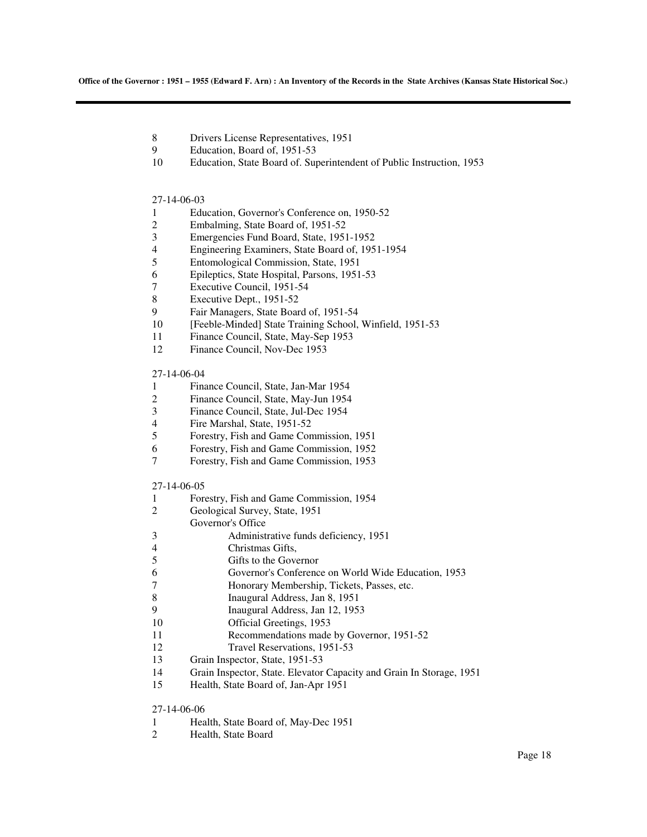- 8 Drivers License Representatives, 1951
- 9 Education, Board of, 1951-53
- 10 Education, State Board of. Superintendent of Public Instruction, 1953

#### 27-14-06-03

- 1 Education, Governor's Conference on, 1950-52
- 2 Embalming, State Board of, 1951-52
- 3 Emergencies Fund Board, State, 1951-1952<br>4 Engineering Examiners, State Board of, 195
- 4 Engineering Examiners, State Board of, 1951-1954<br>5 Entomological Commission. State. 1951
- 5 Entomological Commission, State, 1951
- 6 Epileptics, State Hospital, Parsons, 1951-53
- 7 Executive Council, 1951-54
- 8 Executive Dept., 1951-52
- 9 Fair Managers, State Board of, 1951-54
- 10 [Feeble-Minded] State Training School, Winfield, 1951-53
- 11 Finance Council, State, May-Sep 1953
- 12 Finance Council, Nov-Dec 1953

#### 27-14-06-04

- 1 Finance Council, State, Jan-Mar 1954
- 2 Finance Council, State, May-Jun 1954
- 3 Finance Council, State, Jul-Dec 1954
- 4 Fire Marshal, State, 1951-52<br>5 Forestry, Fish and Game Con
- 5 Forestry, Fish and Game Commission, 1951
- 6 Forestry, Fish and Game Commission, 1952
- 7 Forestry, Fish and Game Commission, 1953

#### 27-14-06-05

1 Forestry, Fish and Game Commission, 1954 2 Geological Survey, State, 1951 Governor's Office 3 Administrative funds deficiency, 1951 4 Christmas Gifts, 5 Gifts to the Governor 6 Governor's Conference on World Wide Education, 1953 7 Honorary Membership, Tickets, Passes, etc. 8 Inaugural Address, Jan 8, 1951<br>9 Inaugural Address Jan 12, 195 9 Inaugural Address, Jan 12, 1953 10 Official Greetings, 1953 11 Recommendations made by Governor, 1951-52 12 Travel Reservations, 1951-53 13 Grain Inspector, State, 1951-53 14 Grain Inspector, State. Elevator Capacity and Grain In Storage, 1951 15 Health, State Board of, Jan-Apr 1951

#### 27-14-06-06

- 1 Health, State Board of, May-Dec 1951
- 2 Health, State Board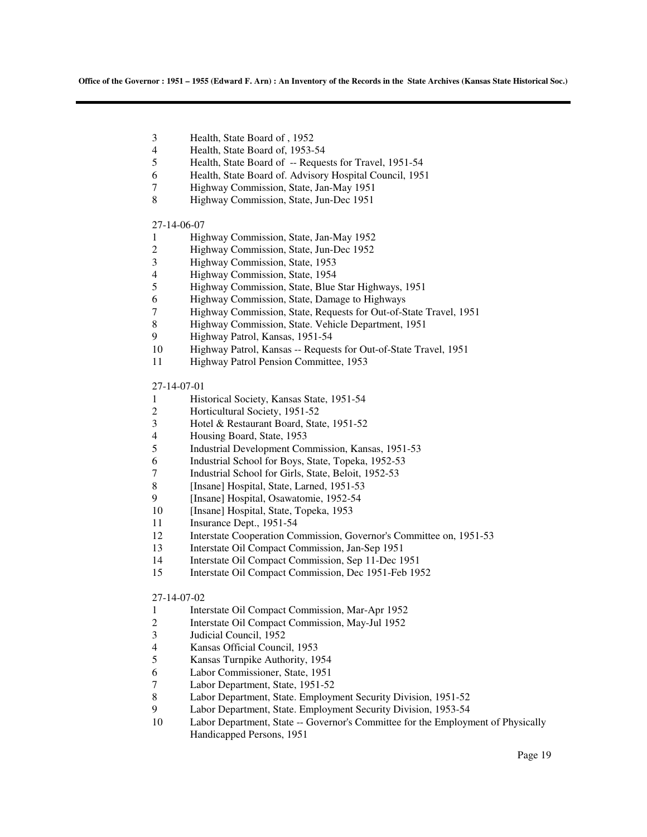- 3 Health, State Board of , 1952
- 4 Health, State Board of, 1953-54<br>5 Health, State Board of -- Reque
- Health, State Board of -- Requests for Travel, 1951-54
- 6 Health, State Board of. Advisory Hospital Council, 1951
- 7 Highway Commission, State, Jan-May 1951
- 8 Highway Commission, State, Jun-Dec 1951

#### 27-14-06-07

- 1 Highway Commission, State, Jan-May 1952<br>2 Highway Commission, State, Jun-Dec 1952
- 2 Highway Commission, State, Jun-Dec 1952<br>3 Highway Commission, State, 1953
- 3 Highway Commission, State, 1953
- 4 Highway Commission, State, 1954
- 5 Highway Commission, State, Blue Star Highways, 1951
- 6 Highway Commission, State, Damage to Highways
- 7 Highway Commission, State, Requests for Out-of-State Travel, 1951
- 8 Highway Commission, State. Vehicle Department, 1951
- 9 Highway Patrol, Kansas, 1951-54
- 10 Highway Patrol, Kansas -- Requests for Out-of-State Travel, 1951
- 11 Highway Patrol Pension Committee, 1953

### 27-14-07-01

- 1 Historical Society, Kansas State, 1951-54
- 2 Horticultural Society, 1951-52
- 3 Hotel & Restaurant Board, State, 1951-52
- 4 Housing Board, State, 1953<br>5 Industrial Development Con
- 5 Industrial Development Commission, Kansas, 1951-53
- 6 Industrial School for Boys, State, Topeka, 1952-53
- 7 Industrial School for Girls, State, Beloit, 1952-53
- 8 [Insane] Hospital, State, Larned, 1951-53
- 9 [Insane] Hospital, Osawatomie, 1952-54
- 10 [Insane] Hospital, State, Topeka, 1953
- 11 Insurance Dept., 1951-54
- 12 Interstate Cooperation Commission, Governor's Committee on, 1951-53
- 13 Interstate Oil Compact Commission, Jan-Sep 1951
- 14 Interstate Oil Compact Commission, Sep 11-Dec 1951
- 15 Interstate Oil Compact Commission, Dec 1951-Feb 1952

#### 27-14-07-02

- 1 Interstate Oil Compact Commission, Mar-Apr 1952
- 2 Interstate Oil Compact Commission, May-Jul 1952<br>3 Judicial Council, 1952
- Judicial Council, 1952
- 4 Kansas Official Council, 1953
- 5 Kansas Turnpike Authority, 1954
- 6 Labor Commissioner, State, 1951
- 7 Labor Department, State, 1951-52
- 8 Labor Department, State. Employment Security Division, 1951-52
- 9 Labor Department, State. Employment Security Division, 1953-54
- 10 Labor Department, State -- Governor's Committee for the Employment of Physically Handicapped Persons, 1951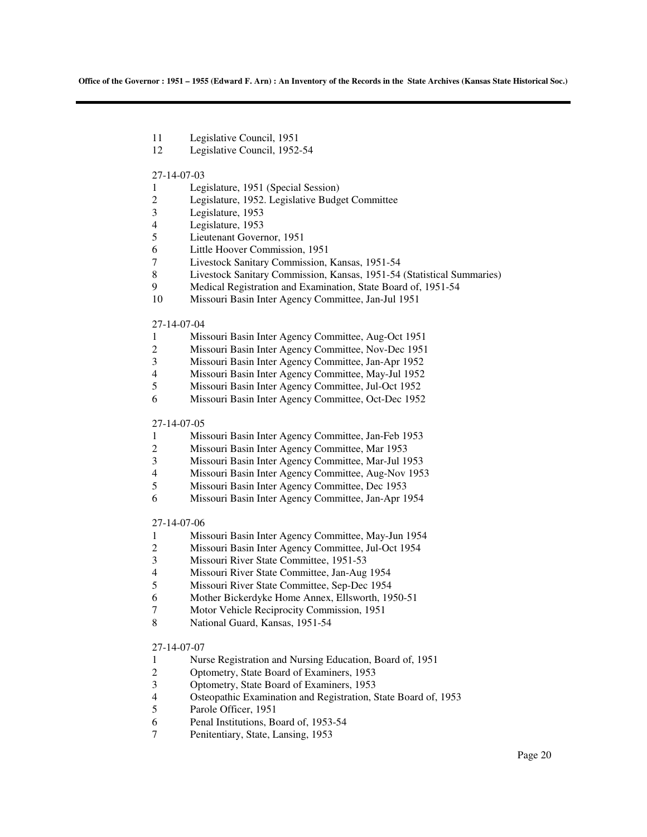- 11 Legislative Council, 1951
- 12 Legislative Council, 1952-54

#### 27-14-07-03

- 1 Legislature, 1951 (Special Session)<br>2 Legislature, 1952. Legislative Budg
- 2 Legislature, 1952. Legislative Budget Committee
- 3 Legislature, 1953
- 4 Legislature, 1953
- 5 Lieutenant Governor, 1951
- 6 Little Hoover Commission, 1951
- 7 Livestock Sanitary Commission, Kansas, 1951-54
- 8 Livestock Sanitary Commission, Kansas, 1951-54 (Statistical Summaries)
- 9 Medical Registration and Examination, State Board of, 1951-54
- 10 Missouri Basin Inter Agency Committee, Jan-Jul 1951

#### 27-14-07-04

- 1 Missouri Basin Inter Agency Committee, Aug-Oct 1951
- 2 Missouri Basin Inter Agency Committee, Nov-Dec 1951<br>3 Missouri Basin Inter Agency Committee, Jan-Apr 1952
- 3 Missouri Basin Inter Agency Committee, Jan-Apr 1952
- 4 Missouri Basin Inter Agency Committee, May-Jul 1952
- 5 Missouri Basin Inter Agency Committee, Jul-Oct 1952
- 6 Missouri Basin Inter Agency Committee, Oct-Dec 1952

### 27-14-07-05

- 1 Missouri Basin Inter Agency Committee, Jan-Feb 1953<br>2 Missouri Basin Inter Agency Committee, Mar 1953
- 2 Missouri Basin Inter Agency Committee, Mar 1953
- 3 Missouri Basin Inter Agency Committee, Mar-Jul 1953
- 4 Missouri Basin Inter Agency Committee, Aug-Nov 1953
- 5 Missouri Basin Inter Agency Committee, Dec 1953
- 6 Missouri Basin Inter Agency Committee, Jan-Apr 1954

#### 27-14-07-06

- 1 Missouri Basin Inter Agency Committee, May-Jun 1954
- 2 Missouri Basin Inter Agency Committee, Jul-Oct 1954
- 3 Missouri River State Committee, 1951-53
- 4 Missouri River State Committee, Jan-Aug 1954
- 5 Missouri River State Committee, Sep-Dec 1954
- 6 Mother Bickerdyke Home Annex, Ellsworth, 1950-51
- 7 Motor Vehicle Reciprocity Commission, 1951
- 8 National Guard, Kansas, 1951-54

#### 27-14-07-07

- 1 Nurse Registration and Nursing Education, Board of, 1951
- 2 Optometry, State Board of Examiners, 1953
- 3 Optometry, State Board of Examiners, 1953<br>4 Osteopathic Examination and Registration.
- 4 Osteopathic Examination and Registration, State Board of, 1953
- Parole Officer, 1951
- 6 Penal Institutions, Board of, 1953-54
- 7 Penitentiary, State, Lansing, 1953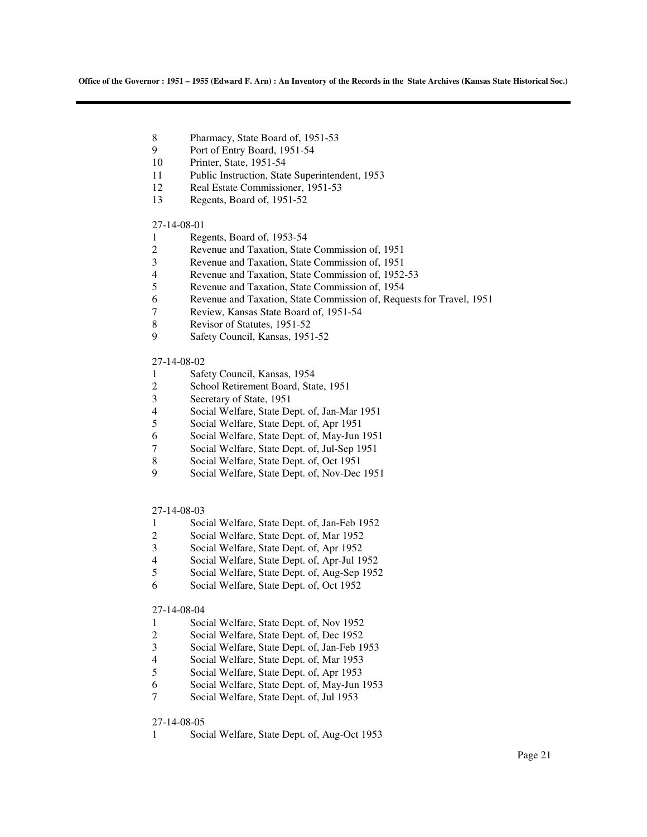- 8 Pharmacy, State Board of, 1951-53
- 9 Port of Entry Board, 1951-54
- 10 Printer, State, 1951-54
- 11 Public Instruction, State Superintendent, 1953
- 12 Real Estate Commissioner, 1951-53
- 13 Regents, Board of, 1951-52

#### 27-14-08-01

- 1 Regents, Board of, 1953-54<br>2 Revenue and Taxation, State
- 2 Revenue and Taxation, State Commission of, 1951<br>Revenue and Taxation, State Commission of, 1951
- 3 Revenue and Taxation, State Commission of, 1951
- 4 Revenue and Taxation, State Commission of, 1952-53
- 5 Revenue and Taxation, State Commission of, 1954
- 6 Revenue and Taxation, State Commission of, Requests for Travel, 1951
- 7 Review, Kansas State Board of, 1951-54
- 8 Revisor of Statutes, 1951-52
- 9 Safety Council, Kansas, 1951-52

#### 27-14-08-02

- 1 Safety Council, Kansas, 1954
- 2 School Retirement Board, State, 1951
- 3 Secretary of State, 1951
- 4 Social Welfare, State Dept. of, Jan-Mar 1951
- 5 Social Welfare, State Dept. of, Apr 1951
- 6 Social Welfare, State Dept. of, May-Jun 1951
- 7 Social Welfare, State Dept. of, Jul-Sep 1951
- 8 Social Welfare, State Dept. of, Oct 1951
- 9 Social Welfare, State Dept. of, Nov-Dec 1951

#### 27-14-08-03

- 1 Social Welfare, State Dept. of, Jan-Feb 1952
- 2 Social Welfare, State Dept. of, Mar 1952
- 3 Social Welfare, State Dept. of, Apr 1952
- 4 Social Welfare, State Dept. of, Apr-Jul 1952
- 5 Social Welfare, State Dept. of, Aug-Sep 1952
- 6 Social Welfare, State Dept. of, Oct 1952

### 27-14-08-04

- 1 Social Welfare, State Dept. of, Nov 1952<br>2 Social Welfare, State Dept. of, Dec 1952
- Social Welfare, State Dept. of, Dec 1952
- 3 Social Welfare, State Dept. of, Jan-Feb 1953
- 4 Social Welfare, State Dept. of, Mar 1953
- 5 Social Welfare, State Dept. of, Apr 1953
- 6 Social Welfare, State Dept. of, May-Jun 1953
- Social Welfare, State Dept. of, Jul 1953

#### 27-14-08-05

1 Social Welfare, State Dept. of, Aug-Oct 1953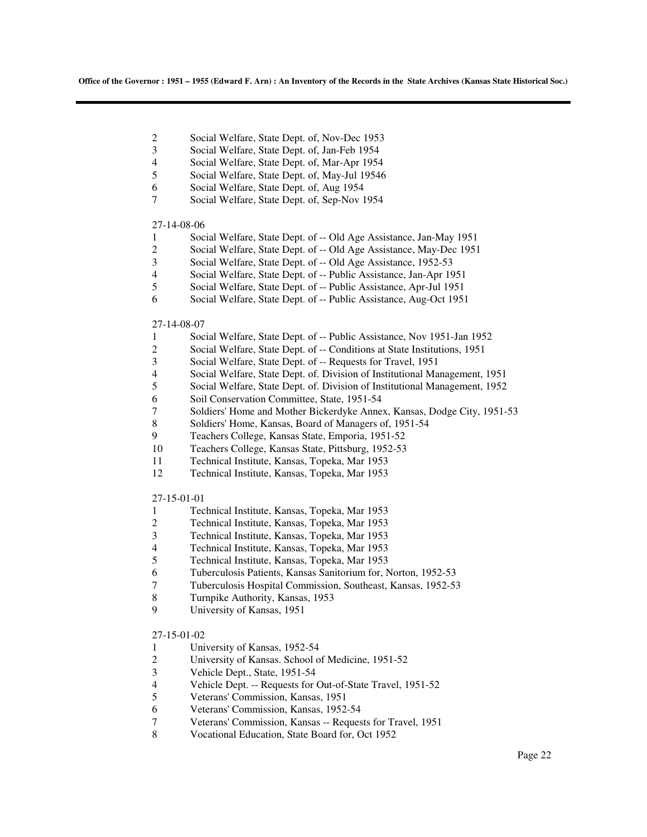- 2 Social Welfare, State Dept. of, Nov-Dec 1953
- 3 Social Welfare, State Dept. of, Jan-Feb 1954
- 4 Social Welfare, State Dept. of, Mar-Apr 1954<br>5 Social Welfare. State Dept. of. May-Jul 1954
- 5 Social Welfare, State Dept. of, May-Jul 19546
- 6 Social Welfare, State Dept. of, Aug 1954
- 7 Social Welfare, State Dept. of, Sep-Nov 1954

#### 27-14-08-06

- 1 Social Welfare, State Dept. of -- Old Age Assistance, Jan-May 1951
- 2 Social Welfare, State Dept. of -- Old Age Assistance, May-Dec 1951<br>3 Social Welfare. State Dept. of -- Old Age Assistance. 1952-53
- Social Welfare, State Dept. of -- Old Age Assistance, 1952-53
- 4 Social Welfare, State Dept. of -- Public Assistance, Jan-Apr 1951
- 5 Social Welfare, State Dept. of -- Public Assistance, Apr-Jul 1951
- 6 Social Welfare, State Dept. of -- Public Assistance, Aug-Oct 1951

#### 27-14-08-07

- 1 Social Welfare, State Dept. of -- Public Assistance, Nov 1951-Jan 1952
- 2 Social Welfare, State Dept. of -- Conditions at State Institutions, 1951
- 3 Social Welfare, State Dept. of -- Requests for Travel, 1951
- 4 Social Welfare, State Dept. of. Division of Institutional Management, 1951
- 5 Social Welfare, State Dept. of. Division of Institutional Management, 1952
- 6 Soil Conservation Committee, State, 1951-54
- 7 Soldiers' Home and Mother Bickerdyke Annex, Kansas, Dodge City, 1951-53
- 8 Soldiers' Home, Kansas, Board of Managers of, 1951-54
- 9 Teachers College, Kansas State, Emporia, 1951-52
- 10 Teachers College, Kansas State, Pittsburg, 1952-53
- 11 Technical Institute, Kansas, Topeka, Mar 1953
- 12 Technical Institute, Kansas, Topeka, Mar 1953

#### 27-15-01-01

- 1 Technical Institute, Kansas, Topeka, Mar 1953
- 2 Technical Institute, Kansas, Topeka, Mar 1953<br>3 Technical Institute, Kansas, Topeka, Mar 1953
- 3 Technical Institute, Kansas, Topeka, Mar 1953
- 4 Technical Institute, Kansas, Topeka, Mar 1953
- 5 Technical Institute, Kansas, Topeka, Mar 1953
- 6 Tuberculosis Patients, Kansas Sanitorium for, Norton, 1952-53
- 7 Tuberculosis Hospital Commission, Southeast, Kansas, 1952-53
- 8 Turnpike Authority, Kansas, 1953<br>9 University of Kansas, 1951
- University of Kansas, 1951

#### 27-15-01-02

- 1 University of Kansas, 1952-54
- 2 University of Kansas. School of Medicine, 1951-52
- 3 Vehicle Dept., State, 1951-54
- 4 Vehicle Dept. -- Requests for Out-of-State Travel, 1951-52<br>5 Veterans' Commission. Kansas. 1951
- 5 Veterans' Commission, Kansas, 1951
- 6 Veterans' Commission, Kansas, 1952-54
- 7 Veterans' Commission, Kansas -- Requests for Travel, 1951
- 8 Vocational Education, State Board for, Oct 1952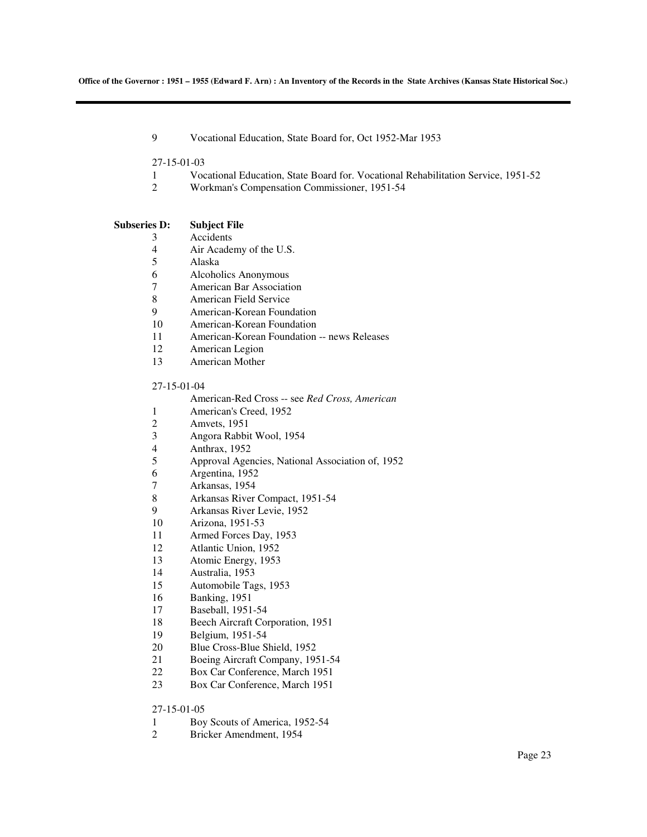9 Vocational Education, State Board for, Oct 1952-Mar 1953

27-15-01-03

- 1 Vocational Education, State Board for. Vocational Rehabilitation Service, 1951-52
- 2 Workman's Compensation Commissioner, 1951-54

#### **Subseries D: Subject File**

3 Accidents

- 4 Air Academy of the U.S.
- 5 Alaska
- 6 Alcoholics Anonymous
- 7 American Bar Association
- 8 American Field Service
- 9 American-Korean Foundation
- 10 American-Korean Foundation
- 11 American-Korean Foundation -- news Releases
- 12 American Legion
- 13 American Mother

#### 27-15-01-04

- American-Red Cross -- see *Red Cross, American*
- 1 American's Creed, 1952
- 2 Amvets, 1951<br>3 Angora Rabbi
- 3 Angora Rabbit Wool, 1954
- 4 Anthrax, 1952
- 5 Approval Agencies, National Association of, 1952
- 6 Argentina, 1952
- 7 Arkansas, 1954
- 8 Arkansas River Compact, 1951-54
- 9 Arkansas River Levie, 1952
- 10 Arizona, 1951-53
- 11 Armed Forces Day, 1953
- 12 Atlantic Union, 1952
- 13 Atomic Energy, 1953
- 14 Australia, 1953
- 15 Automobile Tags, 1953
- 16 Banking, 1951
- 17 Baseball, 1951-54
- 18 Beech Aircraft Corporation, 1951
- 19 Belgium, 1951-54
- 20 Blue Cross-Blue Shield, 1952
- 21 Boeing Aircraft Company, 1951-54
- 22 Box Car Conference, March 1951
- 23 Box Car Conference, March 1951

### 27-15-01-05

- 1 Boy Scouts of America, 1952-54
- 2 Bricker Amendment, 1954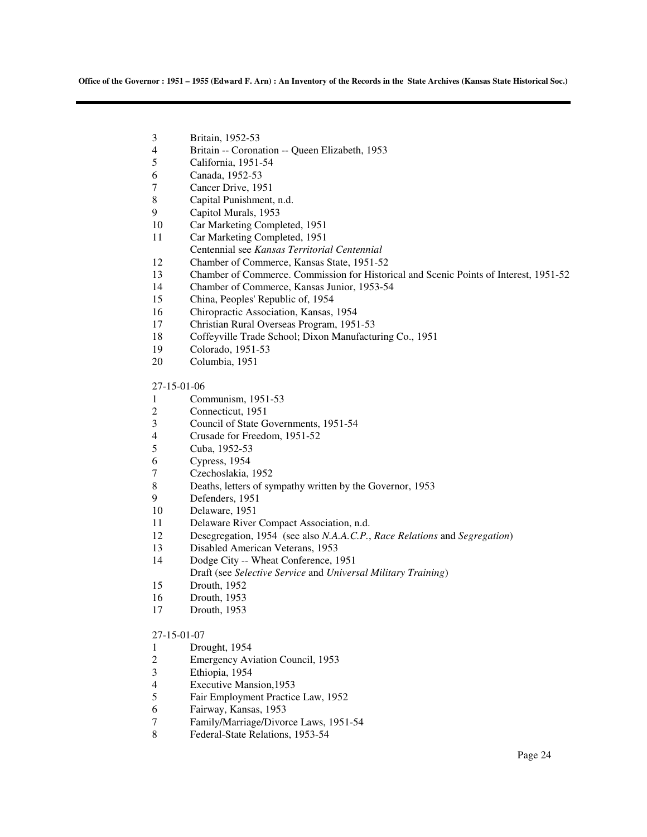- 3 Britain, 1952-53
- 4 Britain -- Coronation -- Queen Elizabeth, 1953<br>5 California, 1951-54
- California, 1951-54
- 6 Canada, 1952-53
- 7 Cancer Drive, 1951
- 8 Capital Punishment, n.d.
- 9 Capitol Murals, 1953
- 10 Car Marketing Completed, 1951
- 11 Car Marketing Completed, 1951
- Centennial see *Kansas Territorial Centennial*
- 12 Chamber of Commerce, Kansas State, 1951-52
- 13 Chamber of Commerce. Commission for Historical and Scenic Points of Interest, 1951-52
- 14 Chamber of Commerce, Kansas Junior, 1953-54
- 15 China, Peoples' Republic of, 1954
- 16 Chiropractic Association, Kansas, 1954
- 17 Christian Rural Overseas Program, 1951-53
- 18 Coffeyville Trade School; Dixon Manufacturing Co., 1951
- 19 Colorado, 1951-53
- 20 Columbia, 1951

#### 27-15-01-06

- 1 Communism, 1951-53
- 2 Connecticut, 1951
- 3 Council of State Governments, 1951-54<br>4 Crusade for Freedom, 1951-52
- 4 Crusade for Freedom, 1951-52<br>5 Cuba, 1952-53
- Cuba, 1952-53
- 6 Cypress, 1954
- Czechoslakia, 1952
- 8 Deaths, letters of sympathy written by the Governor, 1953
- 9 Defenders, 1951
- 10 Delaware, 1951
- 11 Delaware River Compact Association, n.d.
- 12 Desegregation, 1954 (see also *N.A.A.C.P.*, *Race Relations* and *Segregation*)
- 13 Disabled American Veterans, 1953
- 14 Dodge City -- Wheat Conference, 1951
- Draft (see *Selective Service* and *Universal Military Training*)
- 15 Drouth, 1952
- 16 Drouth, 1953
- 17 Drouth, 1953

#### 27-15-01-07

- 1 Drought, 1954
- 2 Emergency Aviation Council, 1953
- 3 Ethiopia, 1954
- 4 Executive Mansion, 1953<br>5 Fair Employment Practic
- 5 Fair Employment Practice Law, 1952
- 6 Fairway, Kansas, 1953
- 7 Family/Marriage/Divorce Laws, 1951-54
- 8 Federal-State Relations, 1953-54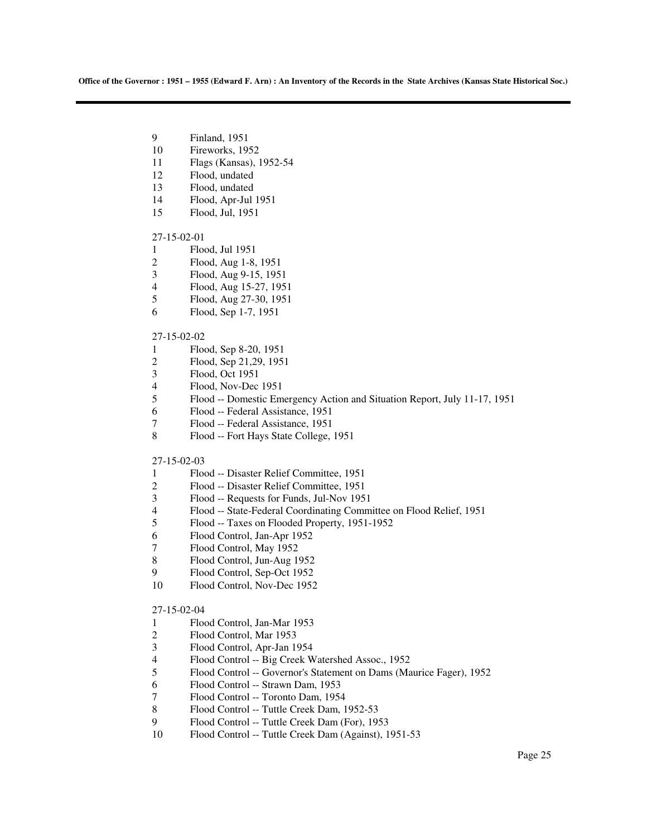- 9 Finland, 1951
- 10 Fireworks, 1952
- 11 Flags (Kansas), 1952-54
- 12 Flood, undated
- 13 Flood, undated
- 14 Flood, Apr-Jul 1951
- 15 Flood, Jul, 1951

#### 27-15-02-01

- 1 Flood, Jul 1951
- 2 Flood, Aug 1-8, 1951
- 3 Flood, Aug 9-15, 1951
- 4 Flood, Aug 15-27, 1951
- 5 Flood, Aug 27-30, 1951
- 6 Flood, Sep 1-7, 1951

#### 27-15-02-02

- 1 Flood, Sep 8-20, 1951
- 2 Flood, Sep 21,29, 1951
- 3 Flood, Oct 1951
- 4 Flood, Nov-Dec 1951
- 5 Flood -- Domestic Emergency Action and Situation Report, July 11-17, 1951
- 6 Flood -- Federal Assistance, 1951
- 7 Flood -- Federal Assistance, 1951
- 8 Flood -- Fort Hays State College, 1951

#### 27-15-02-03

- 1 Flood -- Disaster Relief Committee, 1951
- 2 Flood -- Disaster Relief Committee, 1951
- 3 Flood -- Requests for Funds, Jul-Nov 1951
- 4 Flood -- State-Federal Coordinating Committee on Flood Relief, 1951
- 5 Flood -- Taxes on Flooded Property, 1951-1952
- 6 Flood Control, Jan-Apr 1952
- 7 Flood Control, May 1952
- 8 Flood Control, Jun-Aug 1952
- 9 Flood Control, Sep-Oct 1952
- 10 Flood Control, Nov-Dec 1952

### 27-15-02-04

- 1 Flood Control, Jan-Mar 1953
- 2 Flood Control, Mar 1953
- 3 Flood Control, Apr-Jan 1954
- 4 Flood Control -- Big Creek Watershed Assoc., 1952
- 5 Flood Control -- Governor's Statement on Dams (Maurice Fager), 1952
- 6 Flood Control -- Strawn Dam, 1953
- 7 Flood Control -- Toronto Dam, 1954
- 8 Flood Control -- Tuttle Creek Dam, 1952-53
- 9 Flood Control -- Tuttle Creek Dam (For), 1953
- 10 Flood Control -- Tuttle Creek Dam (Against), 1951-53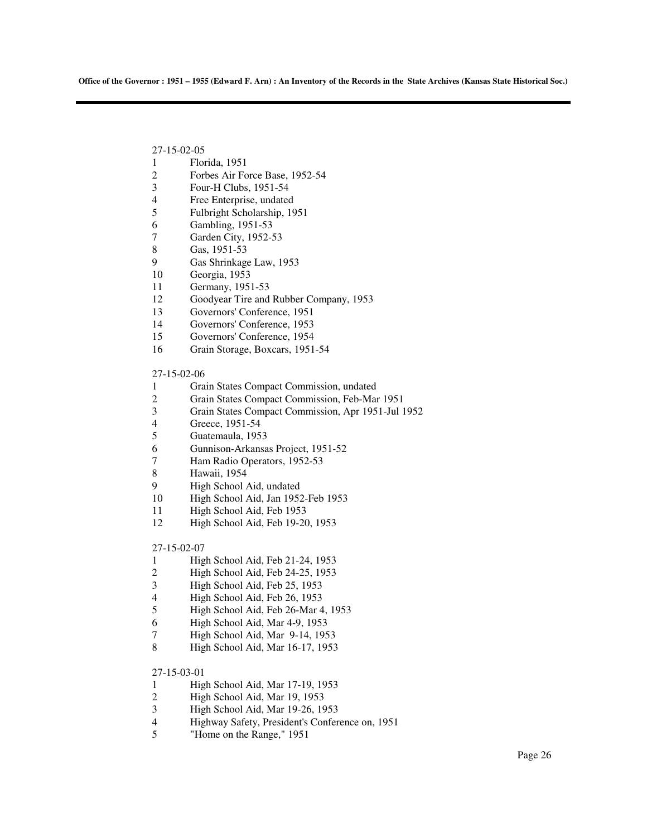27-15-02-05

- 1 Florida, 1951
- 2 Forbes Air Force Base, 1952-54
- 3 Four-H Clubs, 1951-54
- 4 Free Enterprise, undated
- 5 Fulbright Scholarship, 1951
- 6 Gambling, 1951-53
- 7 Garden City, 1952-53
- 8 Gas, 1951-53
- 9 Gas Shrinkage Law, 1953
- 10 Georgia, 1953
- 11 Germany, 1951-53
- 12 Goodyear Tire and Rubber Company, 1953
- 13 Governors' Conference, 1951
- 14 Governors' Conference, 1953
- 15 Governors' Conference, 1954
- 16 Grain Storage, Boxcars, 1951-54

27-15-02-06

- 1 Grain States Compact Commission, undated
- 2 Grain States Compact Commission, Feb-Mar 1951
- 3 Grain States Compact Commission, Apr 1951-Jul 1952
- 4 Greece, 1951-54<br>5 Guatemaula, 195
- 5 Guatemaula, 1953
- 6 Gunnison-Arkansas Project, 1951-52
- 7 Ham Radio Operators, 1952-53
- 8 Hawaii, 1954
- 9 High School Aid, undated
- 10 High School Aid, Jan 1952-Feb 1953
- 11 High School Aid, Feb 1953
- 12 High School Aid, Feb 19-20, 1953

27-15-02-07

- 1 High School Aid, Feb 21-24, 1953
- 2 High School Aid, Feb 24-25, 1953
- 3 High School Aid, Feb 25, 1953
- 4 High School Aid, Feb 26, 1953<br>5 High School Aid, Feb 26-Mar 4
- 5 High School Aid, Feb 26-Mar 4, 1953
- 6 High School Aid, Mar 4-9, 1953
- High School Aid, Mar 9-14, 1953
- 8 High School Aid, Mar 16-17, 1953

27-15-03-01

- 1 High School Aid, Mar 17-19, 1953<br>2 High School Aid, Mar 19, 1953
- 2 High School Aid, Mar 19, 1953
- 3 High School Aid, Mar 19-26, 1953
- 4 Highway Safety, President's Conference on, 1951
- 5 "Home on the Range," 1951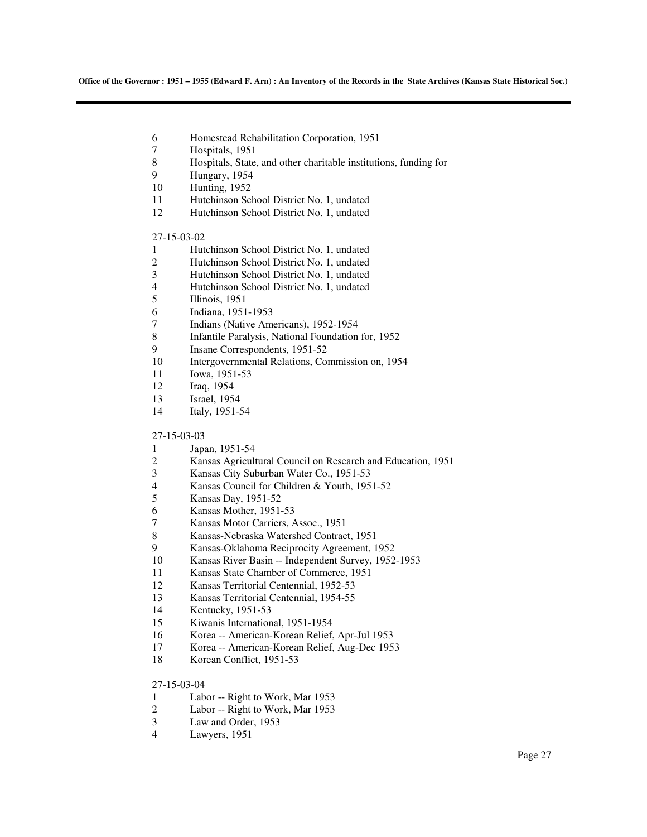- 6 Homestead Rehabilitation Corporation, 1951
- 7 Hospitals, 1951
- 8 Hospitals, State, and other charitable institutions, funding for<br>9 Hungary 1954
- Hungary, 1954
- 10 Hunting, 1952
- 11 Hutchinson School District No. 1, undated
- 12 Hutchinson School District No. 1, undated

### 27-15-03-02

- 1 Hutchinson School District No. 1, undated
- 2 Hutchinson School District No. 1, undated
- 3 Hutchinson School District No. 1, undated
- 4 Hutchinson School District No. 1, undated
- 5 Illinois, 1951
- 6 Indiana, 1951-1953
- 7 Indians (Native Americans), 1952-1954
- 8 Infantile Paralysis, National Foundation for, 1952
- 9 Insane Correspondents, 1951-52
- 10 Intergovernmental Relations, Commission on, 1954
- 11 Iowa, 1951-53
- 12 Iraq, 1954
- 13 Israel, 1954
- 14 Italy, 1951-54

#### 27-15-03-03

- 1 Japan, 1951-54
- 2 Kansas Agricultural Council on Research and Education, 1951
- 3 Kansas City Suburban Water Co., 1951-53
- 4 Kansas Council for Children & Youth, 1951-52
- 5 Kansas Day, 1951-52
- 6 Kansas Mother, 1951-53
- 7 Kansas Motor Carriers, Assoc., 1951
- 8 Kansas-Nebraska Watershed Contract, 1951
- 9 Kansas-Oklahoma Reciprocity Agreement, 1952
- 10 Kansas River Basin -- Independent Survey, 1952-1953
- 11 Kansas State Chamber of Commerce, 1951
- 12 Kansas Territorial Centennial, 1952-53
- 13 Kansas Territorial Centennial, 1954-55
- 14 Kentucky, 1951-53
- 15 Kiwanis International, 1951-1954
- 16 Korea -- American-Korean Relief, Apr-Jul 1953
- 17 Korea -- American-Korean Relief, Aug-Dec 1953
- 18 Korean Conflict, 1951-53

#### 27-15-03-04

- 1 Labor -- Right to Work, Mar 1953
- 2 Labor -- Right to Work, Mar 1953<br>3 Law and Order, 1953
- Law and Order, 1953
- 4 Lawyers, 1951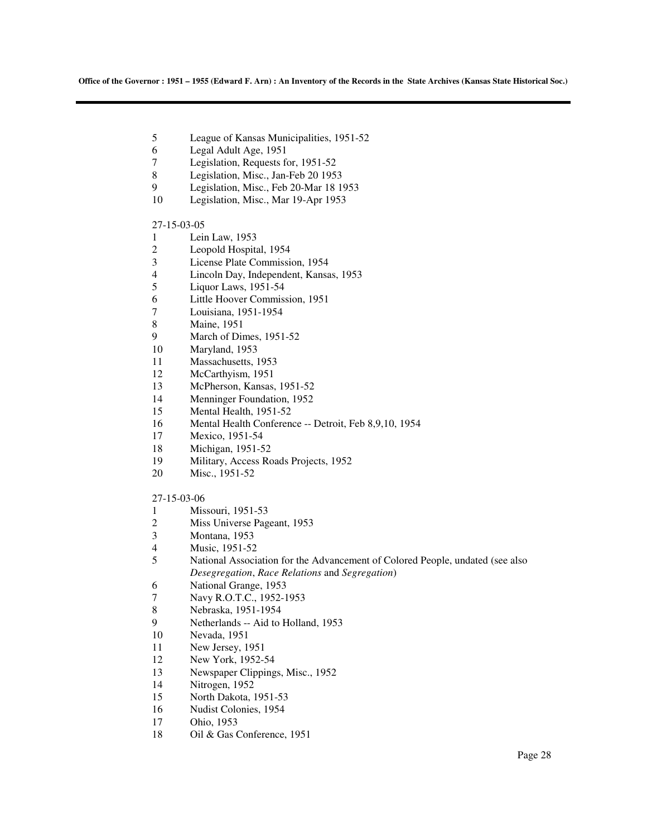- 5 League of Kansas Municipalities, 1951-52
- 6 Legal Adult Age, 1951
- 7 Legislation, Requests for, 1951-52<br>8 Legislation, Misc., Jan-Feb 20 195
- Legislation, Misc., Jan-Feb 20 1953
- 9 Legislation, Misc., Feb 20-Mar 18 1953
- 10 Legislation, Misc., Mar 19-Apr 1953

#### 27-15-03-05

- 1 Lein Law, 1953<br>2 Leopold Hospita
- 2 Leopold Hospital, 1954<br>3 License Plate Commissi
- 3 License Plate Commission, 1954
- 4 Lincoln Day, Independent, Kansas, 1953
- 5 Liquor Laws, 1951-54
- 6 Little Hoover Commission, 1951
- 7 Louisiana, 1951-1954
- 8 Maine, 1951
- 9 March of Dimes, 1951-52
- 10 Maryland, 1953
- 11 Massachusetts, 1953
- 12 McCarthyism, 1951
- 13 McPherson, Kansas, 1951-52
- 14 Menninger Foundation, 1952
- 15 Mental Health, 1951-52
- 16 Mental Health Conference -- Detroit, Feb 8,9,10, 1954
- 17 Mexico, 1951-54
- 18 Michigan, 1951-52
- 19 Military, Access Roads Projects, 1952
- 20 Misc., 1951-52

#### 27-15-03-06

- 1 Missouri, 1951-53
- 2 Miss Universe Pageant, 1953<br>3 Montana, 1953
- Montana, 1953
- 4 Music, 1951-52
- 5 National Association for the Advancement of Colored People, undated (see also *Desegregation*, *Race Relations* and *Segregation*)
- 6 National Grange, 1953
- 7 Navy R.O.T.C., 1952-1953<br>8 Nebraska, 1951-1954
- 8 Nebraska, 1951-1954
- 9 Netherlands -- Aid to Holland, 1953
- 10 Nevada, 1951
- 11 New Jersey, 1951
- 12 New York, 1952-54
- 13 Newspaper Clippings, Misc., 1952
- 14 Nitrogen, 1952
- 15 North Dakota, 1951-53
- 16 Nudist Colonies, 1954
- 17 Ohio, 1953
- 18 Oil & Gas Conference, 1951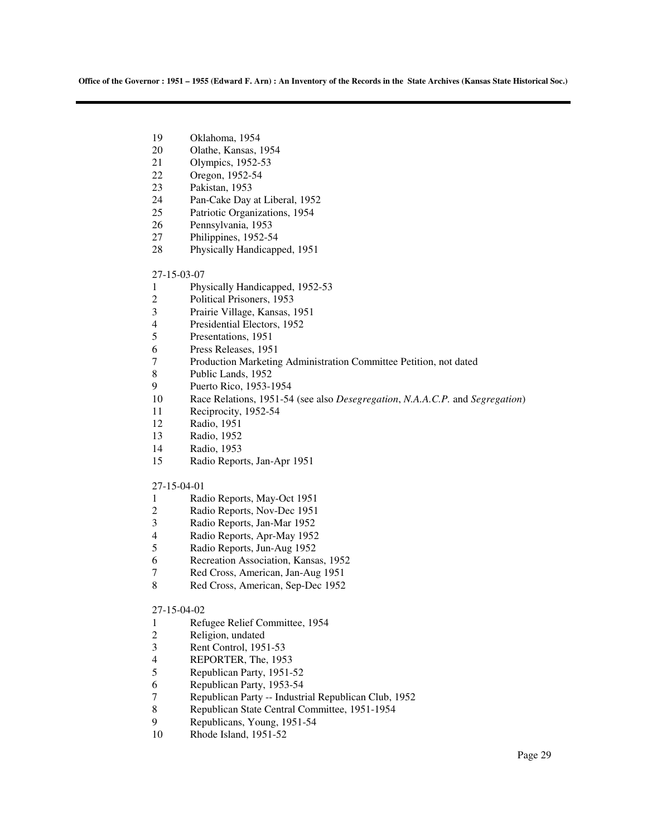- 19 Oklahoma, 1954
- 20 Olathe, Kansas, 1954
- 21 Olympics, 1952-53
- 22 Oregon, 1952-54
- 23 Pakistan, 1953
- 24 Pan-Cake Day at Liberal, 1952
- 25 Patriotic Organizations, 1954
- 26 Pennsylvania, 1953
- 27 Philippines, 1952-54
- 28 Physically Handicapped, 1951

#### 27-15-03-07

- 1 Physically Handicapped, 1952-53
- 2 Political Prisoners, 1953<br>3 Prairie Village, Kansas,
- 3 Prairie Village, Kansas, 1951
- 4 Presidential Electors, 1952
- 5 Presentations, 1951
- 6 Press Releases, 1951
- 7 Production Marketing Administration Committee Petition, not dated
- 8 Public Lands, 1952
- 9 Puerto Rico, 1953-1954
- 10 Race Relations, 1951-54 (see also *Desegregation*, *N.A.A.C.P.* and *Segregation*)
- 11 Reciprocity, 1952-54
- 12 Radio, 1951
- 13 Radio, 1952
- 14 Radio, 1953
- 15 Radio Reports, Jan-Apr 1951

#### 27-15-04-01

- 1 Radio Reports, May-Oct 1951
- 2 Radio Reports, Nov-Dec 1951<br>3 Radio Reports, Jan-Mar 1952
- 3 Radio Reports, Jan-Mar 1952
- 4 Radio Reports, Apr-May 1952
- 5 Radio Reports, Jun-Aug 1952
- 6 Recreation Association, Kansas, 1952
- 7 Red Cross, American, Jan-Aug 1951
- 8 Red Cross, American, Sep-Dec 1952

### 27-15-04-02

- 1 Refugee Relief Committee, 1954<br>2 Religion, undated
- Religion, undated
- 3 Rent Control, 1951-53
- 4 REPORTER, The, 1953
- 5 Republican Party, 1951-52
- 6 Republican Party, 1953-54<br>7 Republican Party -- Industr
- 7 Republican Party -- Industrial Republican Club, 1952<br>Republican State Central Committee, 1951-1954
- 8 Republican State Central Committee, 1951-1954<br>9 Republicans Young 1951-54
- 9 Republicans, Young, 1951-54
- 10 Rhode Island, 1951-52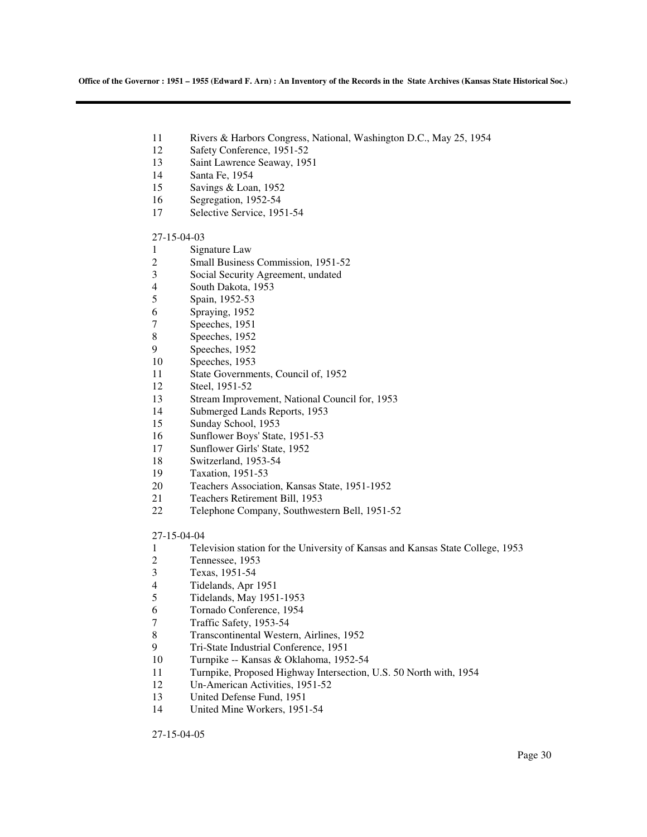- 11 Rivers & Harbors Congress, National, Washington D.C., May 25, 1954
- 12 Safety Conference, 1951-52
- 13 Saint Lawrence Seaway, 1951
- 14 Santa Fe, 1954
- 15 Savings & Loan, 1952
- 16 Segregation, 1952-54
- 17 Selective Service, 1951-54

### 27-15-04-03

- 1 Signature Law
- 2 Small Business Commission, 1951-52
- 3 Social Security Agreement, undated
- 4 South Dakota, 1953
- 5 Spain, 1952-53
- 6 Spraying, 1952
- 7 Speeches, 1951
- 8 Speeches, 1952
- 9 Speeches, 1952
- 10 Speeches, 1953
- 11 State Governments, Council of, 1952
- 12 Steel, 1951-52
- 13 Stream Improvement, National Council for, 1953
- 14 Submerged Lands Reports, 1953
- 15 Sunday School, 1953
- 16 Sunflower Boys' State, 1951-53
- 17 Sunflower Girls' State, 1952
- 18 Switzerland, 1953-54
- 19 Taxation, 1951-53
- 20 Teachers Association, Kansas State, 1951-1952
- 21 Teachers Retirement Bill, 1953
- 22 Telephone Company, Southwestern Bell, 1951-52

#### 27-15-04-04

- 1 Television station for the University of Kansas and Kansas State College, 1953
- 2 Tennessee, 1953
- 3 Texas, 1951-54
- 4 Tidelands, Apr 1951
- 5 Tidelands, May 1951-1953
- 6 Tornado Conference, 1954
- 7 Traffic Safety, 1953-54
- 8 Transcontinental Western, Airlines, 1952
- 9 Tri-State Industrial Conference, 1951
- 10 Turnpike -- Kansas & Oklahoma, 1952-54
- 11 Turnpike, Proposed Highway Intersection, U.S. 50 North with, 1954
- 12 Un-American Activities, 1951-52
- 13 United Defense Fund, 1951
- 14 United Mine Workers, 1951-54

27-15-04-05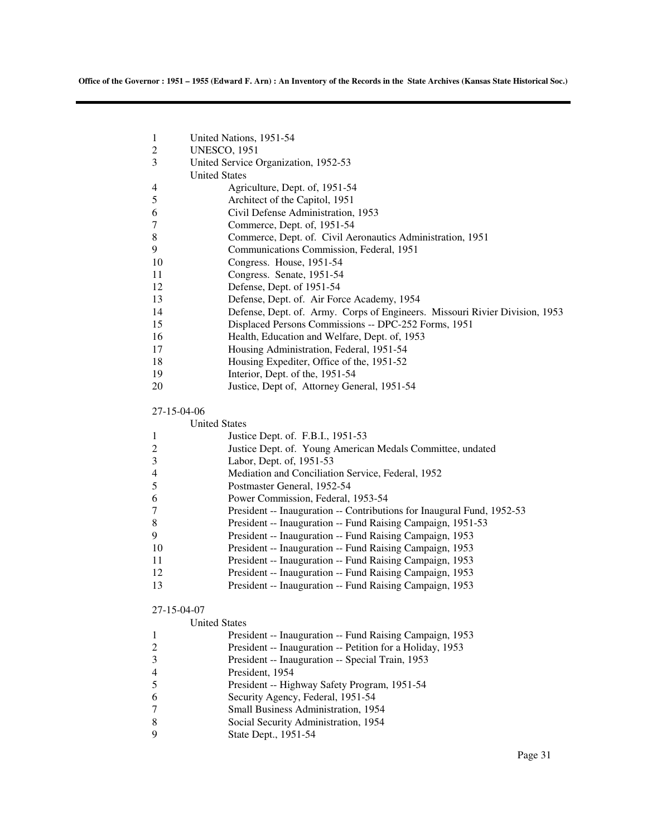| 1<br>$\overline{c}$                                                              | United Nations, 1951-54<br><b>UNESCO, 1951</b>                                                                                                                                                                                                                                                                                                                                                                                                                                                                                                                                                                                                                       |
|----------------------------------------------------------------------------------|----------------------------------------------------------------------------------------------------------------------------------------------------------------------------------------------------------------------------------------------------------------------------------------------------------------------------------------------------------------------------------------------------------------------------------------------------------------------------------------------------------------------------------------------------------------------------------------------------------------------------------------------------------------------|
| 3                                                                                | United Service Organization, 1952-53<br><b>United States</b>                                                                                                                                                                                                                                                                                                                                                                                                                                                                                                                                                                                                         |
| 4<br>5<br>6<br>7<br>8<br>9<br>10<br>11<br>12<br>13<br>14<br>15<br>16<br>17<br>18 | Agriculture, Dept. of, 1951-54<br>Architect of the Capitol, 1951<br>Civil Defense Administration, 1953<br>Commerce, Dept. of, 1951-54<br>Commerce, Dept. of. Civil Aeronautics Administration, 1951<br>Communications Commission, Federal, 1951<br>Congress. House, 1951-54<br>Congress. Senate, 1951-54<br>Defense, Dept. of 1951-54<br>Defense, Dept. of. Air Force Academy, 1954<br>Defense, Dept. of. Army. Corps of Engineers. Missouri Rivier Division, 1953<br>Displaced Persons Commissions -- DPC-252 Forms, 1951<br>Health, Education and Welfare, Dept. of, 1953<br>Housing Administration, Federal, 1951-54<br>Housing Expediter, Office of the, 1951-52 |
| 19                                                                               | Interior, Dept. of the, 1951-54                                                                                                                                                                                                                                                                                                                                                                                                                                                                                                                                                                                                                                      |
| 20                                                                               | Justice, Dept of, Attorney General, 1951-54                                                                                                                                                                                                                                                                                                                                                                                                                                                                                                                                                                                                                          |
| 27-15-04-06                                                                      |                                                                                                                                                                                                                                                                                                                                                                                                                                                                                                                                                                                                                                                                      |
|                                                                                  | <b>United States</b>                                                                                                                                                                                                                                                                                                                                                                                                                                                                                                                                                                                                                                                 |
| 1<br>2                                                                           | Justice Dept. of. F.B.I., 1951-53<br>Justice Dept. of. Young American Medals Committee, undated                                                                                                                                                                                                                                                                                                                                                                                                                                                                                                                                                                      |
| 3                                                                                | Labor, Dept. of, 1951-53                                                                                                                                                                                                                                                                                                                                                                                                                                                                                                                                                                                                                                             |
| 4                                                                                | Mediation and Conciliation Service, Federal, 1952                                                                                                                                                                                                                                                                                                                                                                                                                                                                                                                                                                                                                    |
| 5                                                                                | Postmaster General, 1952-54                                                                                                                                                                                                                                                                                                                                                                                                                                                                                                                                                                                                                                          |
| 6                                                                                | Power Commission, Federal, 1953-54                                                                                                                                                                                                                                                                                                                                                                                                                                                                                                                                                                                                                                   |
| 7                                                                                | President -- Inauguration -- Contributions for Inaugural Fund, 1952-53                                                                                                                                                                                                                                                                                                                                                                                                                                                                                                                                                                                               |
| 8                                                                                | President -- Inauguration -- Fund Raising Campaign, 1951-53                                                                                                                                                                                                                                                                                                                                                                                                                                                                                                                                                                                                          |
| 9                                                                                | President -- Inauguration -- Fund Raising Campaign, 1953                                                                                                                                                                                                                                                                                                                                                                                                                                                                                                                                                                                                             |
| 10<br>11                                                                         | President -- Inauguration -- Fund Raising Campaign, 1953<br>President -- Inauguration -- Fund Raising Campaign, 1953                                                                                                                                                                                                                                                                                                                                                                                                                                                                                                                                                 |
| 12                                                                               | President -- Inauguration -- Fund Raising Campaign, 1953                                                                                                                                                                                                                                                                                                                                                                                                                                                                                                                                                                                                             |
| 13                                                                               | President -- Inauguration -- Fund Raising Campaign, 1953                                                                                                                                                                                                                                                                                                                                                                                                                                                                                                                                                                                                             |
| 27-15-04-07                                                                      |                                                                                                                                                                                                                                                                                                                                                                                                                                                                                                                                                                                                                                                                      |
|                                                                                  | <b>United States</b>                                                                                                                                                                                                                                                                                                                                                                                                                                                                                                                                                                                                                                                 |
| 1                                                                                | President -- Inauguration -- Fund Raising Campaign, 1953                                                                                                                                                                                                                                                                                                                                                                                                                                                                                                                                                                                                             |
| $\overline{2}$                                                                   | President -- Inauguration -- Petition for a Holiday, 1953                                                                                                                                                                                                                                                                                                                                                                                                                                                                                                                                                                                                            |
| 3                                                                                | President -- Inauguration -- Special Train, 1953                                                                                                                                                                                                                                                                                                                                                                                                                                                                                                                                                                                                                     |
| $\overline{4}$<br>5                                                              | President, 1954                                                                                                                                                                                                                                                                                                                                                                                                                                                                                                                                                                                                                                                      |
| 6                                                                                | President -- Highway Safety Program, 1951-54<br>Security Agency, Federal, 1951-54                                                                                                                                                                                                                                                                                                                                                                                                                                                                                                                                                                                    |
| $\tau$                                                                           | Small Business Administration, 1954                                                                                                                                                                                                                                                                                                                                                                                                                                                                                                                                                                                                                                  |
| 8                                                                                | Social Security Administration, 1954                                                                                                                                                                                                                                                                                                                                                                                                                                                                                                                                                                                                                                 |
| 9                                                                                | State Dept., 1951-54                                                                                                                                                                                                                                                                                                                                                                                                                                                                                                                                                                                                                                                 |
|                                                                                  |                                                                                                                                                                                                                                                                                                                                                                                                                                                                                                                                                                                                                                                                      |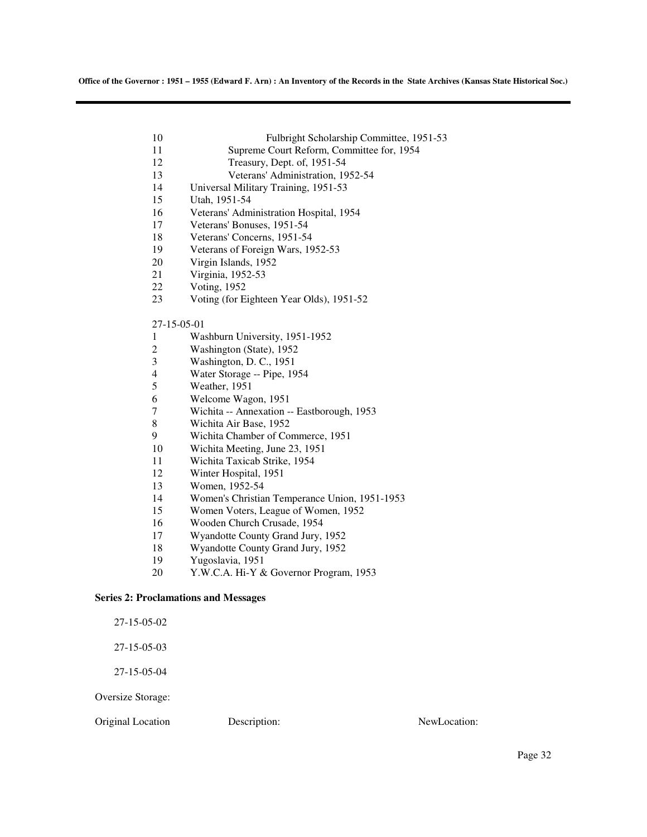| 10 | Fulbright Scholarship Committee, 1951-53  |
|----|-------------------------------------------|
| 11 | Supreme Court Reform, Committee for, 1954 |

- 12 Treasury, Dept. of, 1951-54<br>13 Veterans' Administration. 19
- 13 Veterans' Administration, 1952-54
- 14 Universal Military Training, 1951-53
- 15 Utah, 1951-54
- 16 Veterans' Administration Hospital, 1954
- 17 Veterans' Bonuses, 1951-54
- 18 Veterans' Concerns, 1951-54<br>19 Veterans of Foreign Wars, 19
- Veterans of Foreign Wars, 1952-53
- 20 Virgin Islands, 1952
- 21 Virginia, 1952-53
- 22 Voting, 1952
- 23 Voting (for Eighteen Year Olds), 1951-52

### 27-15-05-01

- 1 Washburn University, 1951-1952
- 2 Washington (State), 1952<br>3 Washington, D. C., 1951
- Washington, D. C., 1951
- 4 Water Storage -- Pipe, 1954
- 5 Weather, 1951
- 6 Welcome Wagon, 1951
- 7 Wichita -- Annexation -- Eastborough, 1953
- 8 Wichita Air Base, 1952
- 9 Wichita Chamber of Commerce, 1951
- 10 Wichita Meeting, June 23, 1951
- 11 Wichita Taxicab Strike, 1954
- 12 Winter Hospital, 1951
- 13 Women, 1952-54
- 14 Women's Christian Temperance Union, 1951-1953
- 15 Women Voters, League of Women, 1952
- 16 Wooden Church Crusade, 1954
- 17 Wyandotte County Grand Jury, 1952
- 18 Wyandotte County Grand Jury, 1952
- 19 Yugoslavia, 1951
- 20 Y.W.C.A. Hi-Y & Governor Program, 1953

### **Series 2: Proclamations and Messages**

27-15-05-02

27-15-05-03

27-15-05-04

Oversize Storage:

Original Location Description: NewLocation: